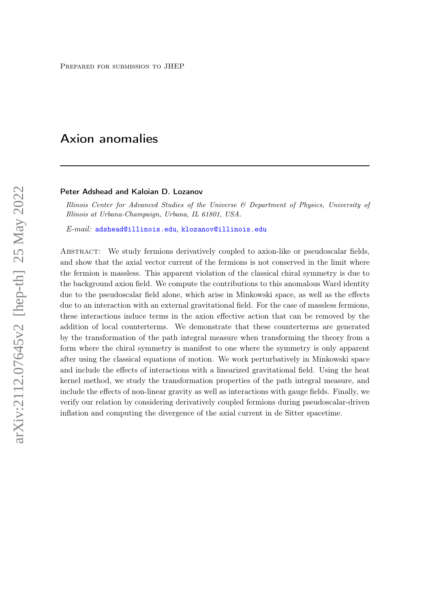# Axion anomalies

#### Peter Adshead and Kaloian D. Lozanov

Illinois Center for Advanced Studies of the Universe & Department of Physics, University of Illinois at Urbana-Champaign, Urbana, IL 61801, USA.

E-mail: [adshead@illinois.edu](mailto:adshead@illinois.edu), [klozanov@illinois.edu](mailto:klozanov@illinois.edu)

Abstract: We study fermions derivatively coupled to axion-like or pseudoscalar fields, and show that the axial vector current of the fermions is not conserved in the limit where the fermion is massless. This apparent violation of the classical chiral symmetry is due to the background axion field. We compute the contributions to this anomalous Ward identity due to the pseudoscalar field alone, which arise in Minkowski space, as well as the effects due to an interaction with an external gravitational field. For the case of massless fermions, these interactions induce terms in the axion effective action that can be removed by the addition of local counterterms. We demonstrate that these counterterms are generated by the transformation of the path integral measure when transforming the theory from a form where the chiral symmetry is manifest to one where the symmetry is only apparent after using the classical equations of motion. We work perturbatively in Minkowski space and include the effects of interactions with a linearized gravitational field. Using the heat kernel method, we study the transformation properties of the path integral measure, and include the effects of non-linear gravity as well as interactions with gauge fields. Finally, we verify our relation by considering derivatively coupled fermions during pseudoscalar-driven inflation and computing the divergence of the axial current in de Sitter spacetime.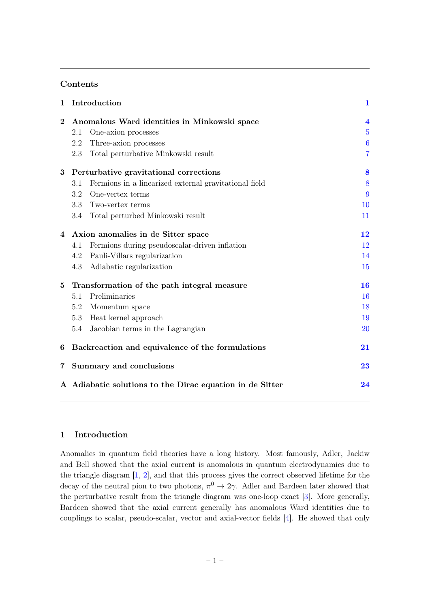# Contents

| $\mathbf{1}$   | Introduction                                                   |                                                       | $\mathbf{1}$            |
|----------------|----------------------------------------------------------------|-------------------------------------------------------|-------------------------|
| $\bf{2}$       | Anomalous Ward identities in Minkowski space                   |                                                       | $\overline{\mathbf{4}}$ |
|                | 2.1                                                            | One-axion processes                                   | $\overline{5}$          |
|                | 2.2                                                            | Three-axion processes                                 | $\boldsymbol{6}$        |
|                | 2.3                                                            | Total perturbative Minkowski result                   | $\overline{7}$          |
| 3              | Perturbative gravitational corrections                         |                                                       | 8                       |
|                | 3.1                                                            | Fermions in a linearized external gravitational field | 8                       |
|                | 3.2                                                            | One-vertex terms                                      | 9                       |
|                | 3.3                                                            | Two-vertex terms                                      | 10                      |
|                | 3.4                                                            | Total perturbed Minkowski result                      | 11                      |
| $\overline{4}$ | Axion anomalies in de Sitter space                             |                                                       | 12                      |
|                | 4.1                                                            | Fermions during pseudoscalar-driven inflation         | 12                      |
|                | 4.2                                                            | Pauli-Villars regularization                          | 14                      |
|                | 4.3                                                            | Adiabatic regularization                              | 15                      |
| $\bf{5}$       | Transformation of the path integral measure                    |                                                       | 16                      |
|                | 5.1                                                            | Preliminaries                                         | 16                      |
|                | 5.2                                                            | Momentum space                                        | 18                      |
|                | 5.3                                                            | Heat kernel approach                                  | 19                      |
|                | 5.4                                                            | Jacobian terms in the Lagrangian                      | 20                      |
| 6              | Backreaction and equivalence of the formulations               |                                                       | 21                      |
| $\overline{7}$ | Summary and conclusions                                        |                                                       | 23                      |
|                | A Adiabatic solutions to the Dirac equation in de Sitter<br>24 |                                                       |                         |

## <span id="page-1-0"></span>1 Introduction

Anomalies in quantum field theories have a long history. Most famously, Adler, Jackiw and Bell showed that the axial current is anomalous in quantum electrodynamics due to the triangle diagram [\[1,](#page-26-0) [2\]](#page-26-1), and that this process gives the correct observed lifetime for the decay of the neutral pion to two photons,  $\pi^0 \to 2\gamma$ . Adler and Bardeen later showed that the perturbative result from the triangle diagram was one-loop exact [\[3\]](#page-26-2). More generally, Bardeen showed that the axial current generally has anomalous Ward identities due to couplings to scalar, pseudo-scalar, vector and axial-vector fields [\[4\]](#page-26-3). He showed that only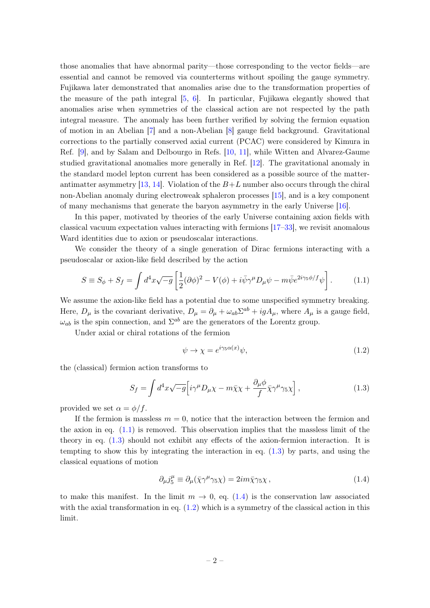those anomalies that have abnormal parity—those corresponding to the vector fields—are essential and cannot be removed via counterterms without spoiling the gauge symmetry. Fujikawa later demonstrated that anomalies arise due to the transformation properties of the measure of the path integral [\[5,](#page-26-4) [6\]](#page-26-5). In particular, Fujikawa elegantly showed that anomalies arise when symmetries of the classical action are not respected by the path integral measure. The anomaly has been further verified by solving the fermion equation of motion in an Abelian [\[7\]](#page-26-6) and a non-Abelian [\[8\]](#page-26-7) gauge field background. Gravitational corrections to the partially conserved axial current (PCAC) were considered by Kimura in Ref. [\[9\]](#page-26-8), and by Salam and Delbourgo in Refs. [\[10,](#page-26-9) [11\]](#page-26-10), while Witten and Alvarez-Gaume studied gravitational anomalies more generally in Ref. [\[12\]](#page-26-11). The gravitational anomaly in the standard model lepton current has been considered as a possible source of the matter-antimatter asymmetry [\[13,](#page-26-12) [14\]](#page-26-13). Violation of the  $B+L$  number also occurs through the chiral non-Abelian anomaly during electroweak sphaleron processes [\[15\]](#page-26-14), and is a key component of many mechanisms that generate the baryon asymmetry in the early Universe [\[16\]](#page-26-15).

In this paper, motivated by theories of the early Universe containing axion fields with classical vacuum expectation values interacting with fermions [\[17–](#page-26-16)[33\]](#page-27-0), we revisit anomalous Ward identities due to axion or pseudoscalar interactions.

We consider the theory of a single generation of Dirac fermions interacting with a pseudoscalar or axion-like field described by the action

$$
S \equiv S_{\phi} + S_{f} = \int d^{4}x \sqrt{-g} \left[ \frac{1}{2} (\partial \phi)^{2} - V(\phi) + i \bar{\psi} \gamma^{\mu} D_{\mu} \psi - m \bar{\psi} e^{2i \gamma_{5} \phi/f} \psi \right]. \tag{1.1}
$$

We assume the axion-like field has a potential due to some unspecified symmetry breaking. Here,  $D_{\mu}$  is the covariant derivative,  $D_{\mu} = \partial_{\mu} + \omega_{ab} \Sigma^{ab} + igA_{\mu}$ , where  $A_{\mu}$  is a gauge field,  $\omega_{ab}$  is the spin connection, and  $\Sigma^{ab}$  are the generators of the Lorentz group.

Under axial or chiral rotations of the fermion

<span id="page-2-3"></span><span id="page-2-1"></span><span id="page-2-0"></span>
$$
\psi \to \chi = e^{i\gamma_5 \alpha(x)} \psi,\tag{1.2}
$$

the (classical) fermion action transforms to

$$
S_f = \int d^4x \sqrt{-g} \Big[ i\gamma^\mu D_\mu \chi - m\bar{\chi}\chi + \frac{\partial_\mu \phi}{f} \bar{\chi}\gamma^\mu \gamma_5 \chi \Big] , \qquad (1.3)
$$

provided we set  $\alpha = \phi/f$ .

If the fermion is massless  $m = 0$ , notice that the interaction between the fermion and the axion in eq.  $(1.1)$  is removed. This observation implies that the massless limit of the theory in eq. [\(1.3\)](#page-2-1) should not exhibit any effects of the axion-fermion interaction. It is tempting to show this by integrating the interaction in eq. [\(1.3\)](#page-2-1) by parts, and using the classical equations of motion

<span id="page-2-2"></span>
$$
\partial_{\mu}j_{5}^{\mu} \equiv \partial_{\mu}(\bar{\chi}\gamma^{\mu}\gamma_{5}\chi) = 2im\bar{\chi}\gamma_{5}\chi , \qquad (1.4)
$$

to make this manifest. In the limit  $m \to 0$ , eq. [\(1.4\)](#page-2-2) is the conservation law associated with the axial transformation in eq.  $(1.2)$  which is a symmetry of the classical action in this limit.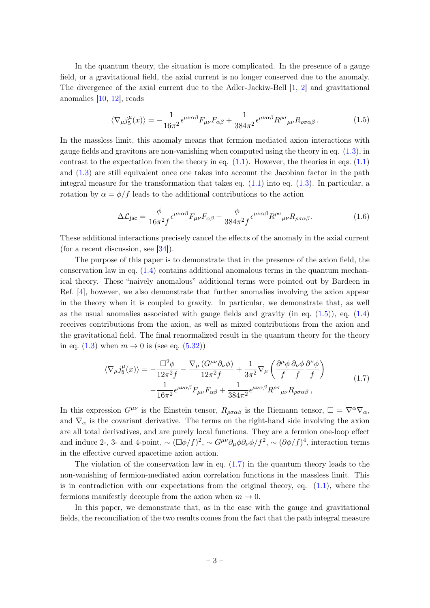In the quantum theory, the situation is more complicated. In the presence of a gauge field, or a gravitational field, the axial current is no longer conserved due to the anomaly. The divergence of the axial current due to the Adler-Jackiw-Bell [\[1,](#page-26-0) [2\]](#page-26-1) and gravitational anomalies [\[10,](#page-26-9) [12\]](#page-26-11), reads

<span id="page-3-0"></span>
$$
\langle \nabla_{\mu} j_{5}^{\mu}(x) \rangle = -\frac{1}{16\pi^{2}} \epsilon^{\mu\nu\alpha\beta} F_{\mu\nu} F_{\alpha\beta} + \frac{1}{384\pi^{2}} \epsilon^{\mu\nu\alpha\beta} R^{\rho\sigma}{}_{\mu\nu} R_{\rho\sigma\alpha\beta} \,. \tag{1.5}
$$

In the massless limit, this anomaly means that fermion mediated axion interactions with gauge fields and gravitons are non-vanishing when computed using the theory in eq. [\(1.3\)](#page-2-1), in contrast to the expectation from the theory in eq.  $(1.1)$ . However, the theories in eqs.  $(1.1)$ and [\(1.3\)](#page-2-1) are still equivalent once one takes into account the Jacobian factor in the path integral measure for the transformation that takes eq.  $(1.1)$  into eq.  $(1.3)$ . In particular, a rotation by  $\alpha = \phi/f$  leads to the additional contributions to the action

$$
\Delta \mathcal{L}_{\text{jac}} = \frac{\phi}{16\pi^2 f} \epsilon^{\mu\nu\alpha\beta} F_{\mu\nu} F_{\alpha\beta} - \frac{\phi}{384\pi^2 f} \epsilon^{\mu\nu\alpha\beta} R^{\rho\sigma}{}_{\mu\nu} R_{\rho\sigma\alpha\beta}.
$$
 (1.6)

These additional interactions precisely cancel the effects of the anomaly in the axial current (for a recent discussion, see [\[34\]](#page-27-1)).

The purpose of this paper is to demonstrate that in the presence of the axion field, the conservation law in eq.  $(1.4)$  contains additional anomalous terms in the quantum mechanical theory. These "naively anomalous" additional terms were pointed out by Bardeen in Ref. [\[4\]](#page-26-3), however, we also demonstrate that further anomalies involving the axion appear in the theory when it is coupled to gravity. In particular, we demonstrate that, as well as the usual anomalies associated with gauge fields and gravity (in eq.  $(1.5)$ ), eq.  $(1.4)$ receives contributions from the axion, as well as mixed contributions from the axion and the gravitational field. The final renormalized result in the quantum theory for the theory in eq. [\(1.3\)](#page-2-1) when  $m \rightarrow 0$  is (see eq. [\(5.32\)](#page-20-1))

<span id="page-3-1"></span>
$$
\langle \nabla_{\mu} j_{5}^{\mu}(x) \rangle = -\frac{\Box^{2} \phi}{12\pi^{2} f} - \frac{\nabla_{\mu} \left( G^{\mu\nu} \partial_{\nu} \phi \right)}{12\pi^{2} f} + \frac{1}{3\pi^{2}} \nabla_{\mu} \left( \frac{\partial^{\mu} \phi}{f} \frac{\partial_{\nu} \phi}{f} \frac{\partial^{\nu} \phi}{f} \right) -\frac{1}{16\pi^{2}} \epsilon^{\mu\nu\alpha\beta} F_{\mu\nu} F_{\alpha\beta} + \frac{1}{384\pi^{2}} \epsilon^{\mu\nu\alpha\beta} R^{\rho\sigma}{}_{\mu\nu} R_{\rho\sigma\alpha\beta} , \tag{1.7}
$$

In this expression  $G^{\mu\nu}$  is the Einstein tensor,  $R_{\rho\sigma\alpha\beta}$  is the Riemann tensor,  $\square = \nabla^{\alpha}\nabla_{\alpha}$ , and  $\nabla_{\alpha}$  is the covariant derivative. The terms on the right-hand side involving the axion are all total derivatives, and are purely local functions. They are a fermion one-loop effect and induce 2-, 3- and 4-point,  $\sim (\Box \phi/f)^2$ ,  $\sim G^{\mu\nu} \partial_\mu \phi \partial_\nu \phi/f^2$ ,  $\sim (\partial \phi/f)^4$ , interaction terms in the effective curved spacetime axion action.

The violation of the conservation law in eq.  $(1.7)$  in the quantum theory leads to the non-vanishing of fermion-mediated axion correlation functions in the massless limit. This is in contradiction with our expectations from the original theory, eq.  $(1.1)$ , where the fermions manifestly decouple from the axion when  $m \to 0$ .

In this paper, we demonstrate that, as in the case with the gauge and gravitational fields, the reconciliation of the two results comes from the fact that the path integral measure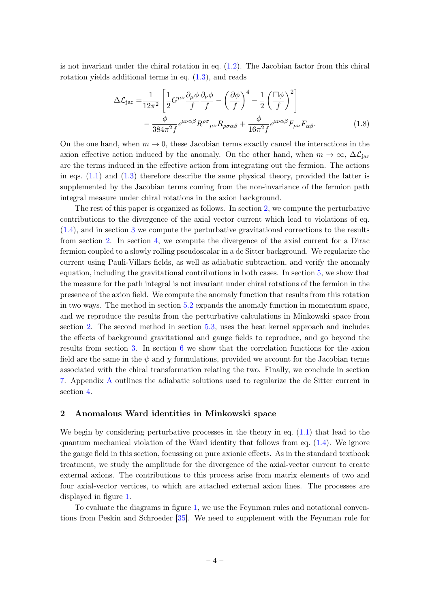is not invariant under the chiral rotation in eq.  $(1.2)$ . The Jacobian factor from this chiral rotation yields additional terms in eq. [\(1.3\)](#page-2-1), and reads

$$
\Delta \mathcal{L}_{\text{jac}} = \frac{1}{12\pi^2} \left[ \frac{1}{2} G^{\mu\nu} \frac{\partial_{\mu} \phi}{f} \frac{\partial_{\nu} \phi}{f} - \left( \frac{\partial \phi}{f} \right)^4 - \frac{1}{2} \left( \frac{\Box \phi}{f} \right)^2 \right] - \frac{\phi}{384\pi^2 f} \epsilon^{\mu\nu\alpha\beta} R^{\rho\sigma}{}_{\mu\nu} R_{\rho\sigma\alpha\beta} + \frac{\phi}{16\pi^2 f} \epsilon^{\mu\nu\alpha\beta} F_{\mu\nu} F_{\alpha\beta}.
$$
 (1.8)

On the one hand, when  $m \to 0$ , these Jacobian terms exactly cancel the interactions in the axion effective action induced by the anomaly. On the other hand, when  $m \to \infty$ ,  $\Delta \mathcal{L}_{\text{inc}}$ are the terms induced in the effective action from integrating out the fermion. The actions in eqs.  $(1.1)$  and  $(1.3)$  therefore describe the same physical theory, provided the latter is supplemented by the Jacobian terms coming from the non-invariance of the fermion path integral measure under chiral rotations in the axion background.

The rest of this paper is organized as follows. In section [2,](#page-4-0) we compute the perturbative contributions to the divergence of the axial vector current which lead to violations of eq. [\(1.4\)](#page-2-2), and in section [3](#page-8-0) we compute the perturbative gravitational corrections to the results from section [2.](#page-4-0) In section [4,](#page-12-0) we compute the divergence of the axial current for a Dirac fermion coupled to a slowly rolling pseudoscalar in a de Sitter background. We regularize the current using Pauli-Villars fields, as well as adiabatic subtraction, and verify the anomaly equation, including the gravitational contributions in both cases. In section [5,](#page-16-0) we show that the measure for the path integral is not invariant under chiral rotations of the fermion in the presence of the axion field. We compute the anomaly function that results from this rotation in two ways. The method in section [5.2](#page-18-0) expands the anomaly function in momentum space, and we reproduce the results from the perturbative calculations in Minkowski space from section [2.](#page-4-0) The second method in section [5.3,](#page-19-0) uses the heat kernel approach and includes the effects of background gravitational and gauge fields to reproduce, and go beyond the results from section [3.](#page-8-0) In section [6](#page-21-0) we show that the correlation functions for the axion field are the same in the  $\psi$  and  $\chi$  formulations, provided we account for the Jacobian terms associated with the chiral transformation relating the two. Finally, we conclude in section [7.](#page-23-0) Appendix [A](#page-24-0) outlines the adiabatic solutions used to regularize the de Sitter current in section [4.](#page-12-0)

## <span id="page-4-0"></span>2 Anomalous Ward identities in Minkowski space

We begin by considering perturbative processes in the theory in eq.  $(1.1)$  that lead to the quantum mechanical violation of the Ward identity that follows from eq.  $(1.4)$ . We ignore the gauge field in this section, focussing on pure axionic effects. As in the standard textbook treatment, we study the amplitude for the divergence of the axial-vector current to create external axions. The contributions to this process arise from matrix elements of two and four axial-vector vertices, to which are attached external axion lines. The processes are displayed in figure [1.](#page-5-1)

To evaluate the diagrams in figure [1,](#page-5-1) we use the Feynman rules and notational conventions from Peskin and Schroeder [\[35\]](#page-27-2). We need to supplement with the Feynman rule for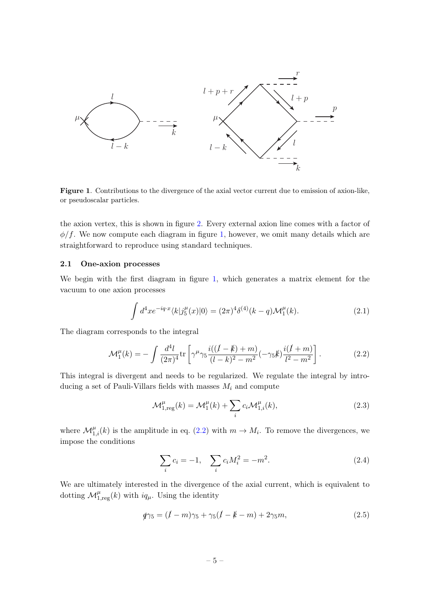

<span id="page-5-1"></span>Figure 1. Contributions to the divergence of the axial vector current due to emission of axion-like, or pseudoscalar particles.

the axion vertex, this is shown in figure [2.](#page-6-1) Every external axion line comes with a factor of  $\phi/f$ . We now compute each diagram in figure [1,](#page-5-1) however, we omit many details which are straightforward to reproduce using standard techniques.

## <span id="page-5-0"></span>2.1 One-axion processes

We begin with the first diagram in figure [1,](#page-5-1) which generates a matrix element for the vacuum to one axion processes

$$
\int d^4x e^{-iq \cdot x} \langle k|j_5^\mu(x)|0\rangle = (2\pi)^4 \delta^{(4)}(k-q) \mathcal{M}_1^\mu(k). \tag{2.1}
$$

The diagram corresponds to the integral

$$
\mathcal{M}_1^{\mu}(k) = -\int \frac{d^4l}{(2\pi)^4} \text{tr}\left[\gamma^{\mu}\gamma_5 \frac{i((l-k)+m)}{(l-k)^2 - m^2}(-\gamma_5 k)\frac{i(l+m)}{l^2 - m^2}\right].\tag{2.2}
$$

This integral is divergent and needs to be regularized. We regulate the integral by introducing a set of Pauli-Villars fields with masses  $M_i$  and compute

<span id="page-5-2"></span>
$$
\mathcal{M}_{1,\text{reg}}^{\mu}(k) = \mathcal{M}_1^{\mu}(k) + \sum_i c_i \mathcal{M}_{1,i}^{\mu}(k),\tag{2.3}
$$

where  $\mathcal{M}_{1,i}^{\mu}(k)$  is the amplitude in eq. [\(2.2\)](#page-5-2) with  $m \to M_i$ . To remove the divergences, we impose the conditions

$$
\sum_{i} c_i = -1, \quad \sum_{i} c_i M_i^2 = -m^2. \tag{2.4}
$$

We are ultimately interested in the divergence of the axial current, which is equivalent to dotting  $\mathcal{M}_{1,\mathrm{reg}}^{\mu}(k)$  with  $iq_{\mu}$ . Using the identity

$$
\oint \gamma_5 = (l - m)\gamma_5 + \gamma_5(l - k - m) + 2\gamma_5 m,\tag{2.5}
$$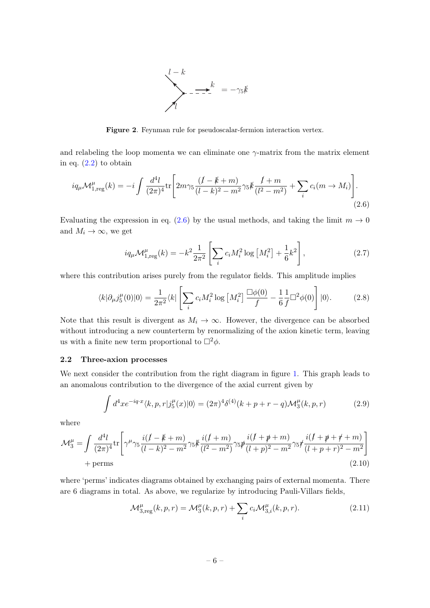<span id="page-6-2"></span>

<span id="page-6-1"></span>Figure 2. Feynman rule for pseudoscalar-fermion interaction vertex.

and relabeling the loop momenta we can eliminate one  $\gamma$ -matrix from the matrix element in eq.  $(2.2)$  to obtain

$$
iq_{\mu} \mathcal{M}_{1,\text{reg}}^{\mu}(k) = -i \int \frac{d^4l}{(2\pi)^4} \text{tr} \left[ 2m\gamma_5 \frac{(l-k+m)}{(l-k)^2 - m^2} \gamma_5 k \frac{l+m}{(l^2 - m^2)} + \sum_i c_i (m \to M_i) \right]. \tag{2.6}
$$

Evaluating the expression in eq. [\(2.6\)](#page-6-2) by the usual methods, and taking the limit  $m \to 0$ and  $M_i \to \infty$ , we get

$$
iq_{\mu} \mathcal{M}_{1, \text{reg}}^{\mu}(k) = -k^2 \frac{1}{2\pi^2} \left[ \sum_i c_i M_i^2 \log \left[ M_i^2 \right] + \frac{1}{6} k^2 \right], \tag{2.7}
$$

where this contribution arises purely from the regulator fields. This amplitude implies

$$
\langle k|\partial_{\mu}j_{5}^{\mu}(0)|0\rangle = \frac{1}{2\pi^{2}}\langle k|\left[\sum_{i}c_{i}M_{i}^{2}\log\left[M_{i}^{2}\right]\frac{\Box\phi(0)}{f} - \frac{1}{6}\frac{1}{f}\Box^{2}\phi(0)\right]|0\rangle. \tag{2.8}
$$

Note that this result is divergent as  $M_i \to \infty$ . However, the divergence can be absorbed without introducing a new counterterm by renormalizing of the axion kinetic term, leaving us with a finite new term proportional to  $\Box^2 \phi$ .

#### <span id="page-6-0"></span>2.2 Three-axion processes

We next consider the contribution from the right diagram in figure [1.](#page-5-1) This graph leads to an anomalous contribution to the divergence of the axial current given by

$$
\int d^4x e^{-iq \cdot x} \langle k, p, r | j_5^{\mu}(x) | 0 \rangle = (2\pi)^4 \delta^{(4)}(k+p+r-q) \mathcal{M}_3^{\mu}(k,p,r) \tag{2.9}
$$

where

$$
\mathcal{M}_{3}^{\mu} = \int \frac{d^{4}l}{(2\pi)^{4}} \text{tr}\left[\gamma^{\mu}\gamma_{5}\frac{i(l-k+m)}{(l-k)^{2}-m^{2}}\gamma_{5}\frac{\mu(l+m)}{(l^{2}-m^{2})}\gamma_{5}\frac{\mu(l+\cancel{p}+m)}{(l+p)^{2}-m^{2}}\gamma_{5}\frac{i(l+\cancel{p}+\cancel{r}+m)}{(l+p+r)^{2}-m^{2}}\right] + \text{perms}
$$
\n(2.10)

where 'perms' indicates diagrams obtained by exchanging pairs of external momenta. There are 6 diagrams in total. As above, we regularize by introducing Pauli-Villars fields,

$$
\mathcal{M}_{3,\text{reg}}^{\mu}(k,p,r) = \mathcal{M}_3^{\mu}(k,p,r) + \sum_{i} c_i \mathcal{M}_{3,i}^{\mu}(k,p,r). \tag{2.11}
$$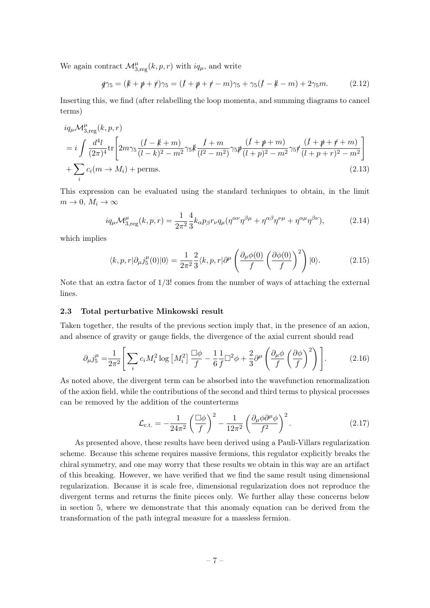We again contract  $\mathcal{M}_{3,\text{reg}}^{\mu}(k,p,r)$  with  $iq_{\mu}$ , and write

$$
\phi \gamma_5 = (k + p + r)\gamma_5 = (l + p + r - m)\gamma_5 + \gamma_5(l - k - m) + 2\gamma_5 m. \tag{2.12}
$$

Inserting this, we find (after relabelling the loop momenta, and summing diagrams to cancel terms)

$$
i q_{\mu} \mathcal{M}_{3,\mathrm{reg}}^{\mu}(k, p, r)
$$
  
=  $i \int \frac{d^4 l}{(2\pi)^4} \mathrm{tr} \left[ 2m \gamma_5 \frac{(l - k + m)}{(l - k)^2 - m^2} \gamma_5 k \frac{l + m}{(l^2 - m^2)} \gamma_5 \frac{p (l + p + m)}{(l + p)^2 - m^2} \gamma_5 \frac{p (l + p + r + m)}{(l + p + r)^2 - m^2} \right]$   
+  $\sum_i c_i (m \to M_i)$  + perms. (2.13)

This expression can be evaluated using the standard techniques to obtain, in the limit  $m \to 0, M_i \to \infty$ 

$$
iq_{\mu}\mathcal{M}_{3,\text{reg}}^{\mu}(k,p,r) = \frac{1}{2\pi^2} \frac{4}{3} k_{\alpha} p_{\beta} r_{\nu} q_{\mu} (\eta^{\alpha\nu} \eta^{\beta\mu} + \eta^{\alpha\beta} \eta^{\nu\mu} + \eta^{\alpha\mu} \eta^{\beta\nu}), \tag{2.14}
$$

which implies

$$
\langle k, p, r | \partial_{\mu} j_{5}^{\mu}(0) | 0 \rangle = \frac{1}{2\pi^{2}} \frac{2}{3} \langle k, p, r | \partial^{\mu} \left( \frac{\partial_{\mu} \phi(0)}{f} \left( \frac{\partial \phi(0)}{f} \right)^{2} \right) | 0 \rangle. \tag{2.15}
$$

Note that an extra factor of  $1/3!$  comes from the number of ways of attaching the external lines.

## <span id="page-7-0"></span>2.3 Total perturbative Minkowski result

Taken together, the results of the previous section imply that, in the presence of an axion, and absence of gravity or gauge fields, the divergence of the axial current should read

$$
\partial_{\mu} j_{5}^{\mu} = \frac{1}{2\pi^{2}} \Bigg[ \sum_{i} c_{i} M_{i}^{2} \log \left[ M_{i}^{2} \right] \frac{\Box \phi}{f} - \frac{1}{6} \frac{1}{f} \Box^{2} \phi + \frac{2}{3} \partial^{\mu} \left( \frac{\partial_{\mu} \phi}{f} \left( \frac{\partial \phi}{f} \right)^{2} \right) \Bigg]. \tag{2.16}
$$

As noted above, the divergent term can be absorbed into the wavefunction renormalization of the axion field, while the contributions of the second and third terms to physical processes can be removed by the addition of the counterterms

$$
\mathcal{L}_{\text{c.t.}} = -\frac{1}{24\pi^2} \left(\frac{\Box\phi}{f}\right)^2 - \frac{1}{12\pi^2} \left(\frac{\partial_\mu\phi\partial^\mu\phi}{f^2}\right)^2.
$$
\n(2.17)

As presented above, these results have been derived using a Pauli-Villars regularization scheme. Because this scheme requires massive fermions, this regulator explicitly breaks the chiral symmetry, and one may worry that these results we obtain in this way are an artifact of this breaking. However, we have verified that we find the same result using dimensional regularization. Because it is scale free, dimensional regularization does not reproduce the divergent terms and returns the finite pieces only. We further allay these concerns below in section [5,](#page-16-0) where we demonstrate that this anomaly equation can be derived from the transformation of the path integral measure for a massless fermion.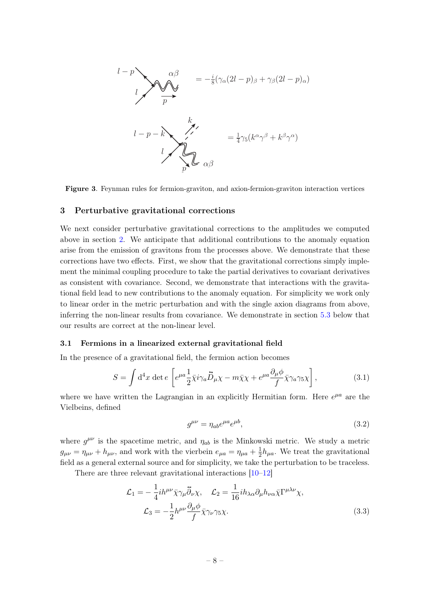$$
l-p
$$
\n
$$
l-p
$$
\n
$$
l-p
$$
\n
$$
l-p-k
$$
\n
$$
l-p-k
$$
\n
$$
l
$$
\n
$$
l
$$
\n
$$
l
$$
\n
$$
l
$$
\n
$$
l
$$
\n
$$
l
$$
\n
$$
l
$$
\n
$$
l
$$
\n
$$
l
$$
\n
$$
l
$$
\n
$$
l
$$
\n
$$
l
$$
\n
$$
l
$$
\n
$$
l
$$
\n
$$
l
$$
\n
$$
l
$$
\n
$$
l
$$
\n
$$
l
$$
\n
$$
l
$$
\n
$$
l
$$
\n
$$
l
$$
\n
$$
l
$$
\n
$$
l
$$
\n
$$
l
$$
\n
$$
l
$$
\n
$$
l
$$
\n
$$
l
$$
\n
$$
l
$$
\n
$$
l
$$
\n
$$
l
$$
\n
$$
l
$$
\n
$$
l
$$
\n
$$
l
$$
\n
$$
l
$$
\n
$$
l
$$
\n
$$
l
$$
\n
$$
l
$$
\n
$$
l
$$
\n
$$
l
$$
\n
$$
l
$$
\n
$$
l
$$
\n
$$
l
$$
\n
$$
l
$$
\n
$$
l
$$
\n
$$
l
$$
\n
$$
l
$$
\n
$$
l
$$
\n
$$
l
$$
\n
$$
l
$$
\n
$$
l
$$
\n
$$
l
$$
\n
$$
l
$$
\n
$$
l
$$
\n
$$
l
$$
\n
$$
l
$$
\n
$$
l
$$
\n
$$
l
$$
\n
$$
l
$$
\n
$$
l
$$
\n
$$
l
$$
\n
$$
l
$$
\n
$$
l
$$
\n
$$
l
$$
\n
$$
l
$$
\

Figure 3. Feynman rules for fermion-graviton, and axion-fermion-graviton interaction vertices

#### <span id="page-8-0"></span>3 Perturbative gravitational corrections

We next consider perturbative gravitational corrections to the amplitudes we computed above in section [2.](#page-4-0) We anticipate that additional contributions to the anomaly equation arise from the emission of gravitons from the processes above. We demonstrate that these corrections have two effects. First, we show that the gravitational corrections simply implement the minimal coupling procedure to take the partial derivatives to covariant derivatives as consistent with covariance. Second, we demonstrate that interactions with the gravitational field lead to new contributions to the anomaly equation. For simplicity we work only to linear order in the metric perturbation and with the single axion diagrams from above, inferring the non-linear results from covariance. We demonstrate in section [5.3](#page-19-0) below that our results are correct at the non-linear level.

## <span id="page-8-1"></span>3.1 Fermions in a linearized external gravitational field

In the presence of a gravitational field, the fermion action becomes

$$
S = \int d^4x \, \det e \left[ e^{\mu a} \frac{1}{2} \bar{\chi} i \gamma_a \vec{D}_\mu \chi - m \bar{\chi} \chi + e^{\mu a} \frac{\partial_\mu \phi}{f} \bar{\chi} \gamma_a \gamma_5 \chi \right], \tag{3.1}
$$

where we have written the Lagrangian in an explicitly Hermitian form. Here  $e^{\mu a}$  are the Vielbeins, defined

$$
g^{\mu\nu} = \eta_{ab} e^{\mu a} e^{\mu b},\tag{3.2}
$$

where  $g^{\mu\nu}$  is the spacetime metric, and  $\eta_{ab}$  is the Minkowski metric. We study a metric  $g_{\mu\nu} = \eta_{\mu\nu} + h_{\mu\nu}$ , and work with the vierbein  $e_{\mu a} = \eta_{\mu a} + \frac{1}{2}$  $\frac{1}{2}h_{\mu a}$ . We treat the gravitational field as a general external source and for simplicity, we take the perturbation to be traceless.

There are three relevant gravitational interactions [\[10–](#page-26-9)[12\]](#page-26-11)

$$
\mathcal{L}_1 = -\frac{1}{4}ih^{\mu\nu}\bar{\chi}\gamma_\mu\bar{\partial}_\nu\chi, \quad \mathcal{L}_2 = \frac{1}{16}ih_{\lambda\alpha}\partial_\mu h_{\nu\alpha}\bar{\chi}\Gamma^{\mu\lambda\nu}\chi,
$$

$$
\mathcal{L}_3 = -\frac{1}{2}h^{\mu\nu}\frac{\partial_\mu\phi}{f}\bar{\chi}\gamma_\nu\gamma_5\chi.
$$
(3.3)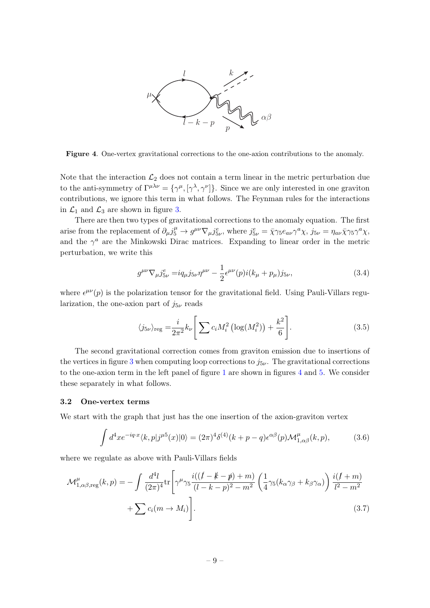

<span id="page-9-1"></span>Figure 4. One-vertex gravitational corrections to the one-axion contributions to the anomaly.

Note that the interaction  $\mathcal{L}_2$  does not contain a term linear in the metric perturbation due to the anti-symmetry of  $\Gamma^{\mu\lambda\nu} = {\gamma^{\mu}, [\gamma^{\lambda}, \gamma^{\nu}]}$ . Since we are only interested in one graviton contributions, we ignore this term in what follows. The Feynman rules for the interactions in  $\mathcal{L}_1$  and  $\mathcal{L}_3$  are shown in figure [3.](#page-8-0)

There are then two types of gravitational corrections to the anomaly equation. The first arise from the replacement of  $\partial_{\mu} j^{\mu}_{5} \to g^{\mu\nu} \nabla_{\mu} j^e_{5\nu}$ , where  $j^e_{5\nu} = \bar{\chi} \gamma_5 e_{a\nu} \gamma^a \chi$ ,  $j_{5\nu} = \eta_{a\nu} \bar{\chi} \gamma_5 \gamma^a \chi$ , and the  $\gamma^a$  are the Minkowski Dirac matrices. Expanding to linear order in the metric perturbation, we write this

<span id="page-9-2"></span>
$$
g^{\mu\nu}\nabla_{\mu}j_{5\nu}^{e} = i q_{\mu}j_{5\nu}\eta^{\mu\nu} - \frac{1}{2}\epsilon^{\mu\nu}(p)i(k_{\mu} + p_{\mu})j_{5\nu},
$$
\n(3.4)

where  $\epsilon^{\mu\nu}(p)$  is the polarization tensor for the gravitational field. Using Pauli-Villars regularization, the one-axion part of  $j_{5\nu}$  reads

$$
\langle j_{5\nu} \rangle_{\text{reg}} = \frac{i}{2\pi^2} k_{\nu} \left[ \sum c_i M_i^2 \left( \log(M_i^2) \right) + \frac{k^2}{6} \right]. \tag{3.5}
$$

The second gravitational correction comes from graviton emission due to insertions of the vertices in figure [3](#page-8-0) when computing loop corrections to  $j_{5\nu}$ . The gravitational corrections to the one-axion term in the left panel of figure [1](#page-5-1) are shown in figures [4](#page-9-1) and [5.](#page-10-1) We consider these separately in what follows.

#### <span id="page-9-0"></span>3.2 One-vertex terms

We start with the graph that just has the one insertion of the axion-graviton vertex

$$
\int d^4x e^{-iq \cdot x} \langle k, p | j^{\mu 5}(x) | 0 \rangle = (2\pi)^4 \delta^{(4)}(k+p-q) \epsilon^{\alpha \beta}(p) \mathcal{M}_{1,\alpha\beta}^{\mu}(k,p), \tag{3.6}
$$

where we regulate as above with Pauli-Villars fields

$$
\mathcal{M}_{1,\alpha\beta,\text{reg}}^{\mu}(k,p) = -\int \frac{d^4l}{(2\pi)^4} \text{tr}\left[\gamma^{\mu}\gamma_5 \frac{i((l-k-p)+m)}{(l-k-p)^2 - m^2} \left(\frac{1}{4}\gamma_5(k_{\alpha}\gamma_{\beta} + k_{\beta}\gamma_{\alpha})\right) \frac{i(l+m)}{l^2 - m^2} + \sum c_i(m \to M_i)\right].
$$
\n(3.7)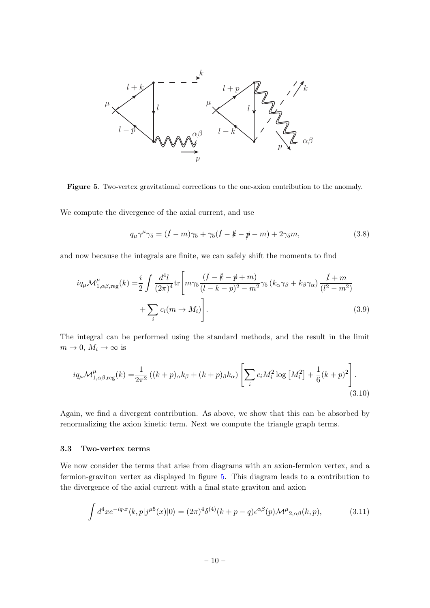

<span id="page-10-1"></span>Figure 5. Two-vertex gravitational corrections to the one-axion contribution to the anomaly.

We compute the divergence of the axial current, and use

$$
q_{\mu}\gamma^{\mu}\gamma_5 = (l - m)\gamma_5 + \gamma_5(l - k - p - m) + 2\gamma_5 m, \qquad (3.8)
$$

and now because the integrals are finite, we can safely shift the momenta to find

$$
iq_{\mu} \mathcal{M}^{\mu}_{1,\alpha\beta,\text{reg}}(k) = \frac{i}{2} \int \frac{d^4l}{(2\pi)^4} \text{tr}\left[m\gamma_5 \frac{(l-k-p+m)}{(l-k-p)^2 - m^2} \gamma_5 \left(k_{\alpha}\gamma_{\beta} + k_{\beta}\gamma_{\alpha}\right) \frac{l+m}{(l^2 - m^2)} + \sum_i c_i (m \to M_i)\right].
$$
\n(3.9)

The integral can be performed using the standard methods, and the result in the limit  $m \to 0$ ,  $M_i \to \infty$  is

$$
iq_{\mu} \mathcal{M}_{1,\alpha\beta, \text{reg}}^{\mu}(k) = \frac{1}{2\pi^2} \left( (k+p)_{\alpha} k_{\beta} + (k+p)_{\beta} k_{\alpha} \right) \left[ \sum_i c_i M_i^2 \log \left[ M_i^2 \right] + \frac{1}{6} (k+p)^2 \right].
$$
\n(3.10)

Again, we find a divergent contribution. As above, we show that this can be absorbed by renormalizing the axion kinetic term. Next we compute the triangle graph terms.

## <span id="page-10-0"></span>3.3 Two-vertex terms

We now consider the terms that arise from diagrams with an axion-fermion vertex, and a fermion-graviton vertex as displayed in figure [5.](#page-10-1) This diagram leads to a contribution to the divergence of the axial current with a final state graviton and axion

$$
\int d^4x e^{-iq \cdot x} \langle k, p | j^{\mu 5}(x) | 0 \rangle = (2\pi)^4 \delta^{(4)}(k+p-q) \epsilon^{\alpha \beta}(p) \mathcal{M}^{\mu}_{2,\alpha\beta}(k,p), \tag{3.11}
$$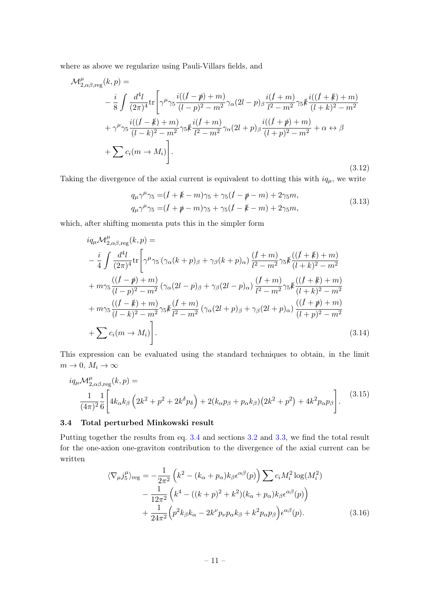where as above we regularize using Pauli-Villars fields, and

$$
\mathcal{M}^{\mu}_{2,\alpha\beta,\text{reg}}(k,p) =
$$
\n
$$
-\frac{i}{8} \int \frac{d^{4}l}{(2\pi)^{4}} \text{tr}\left[\gamma^{\mu}\gamma_{5}\frac{i((l-p)+m)}{(l-p)^{2}-m^{2}}\gamma_{\alpha}(2l-p)_{\beta}\frac{i(l+m)}{l^{2}-m^{2}}\gamma_{5}k\frac{i((l+k)+m)}{(l+k)^{2}-m^{2}} + \gamma^{\mu}\gamma_{5}\frac{i((l-k)+m)}{(l-k)^{2}-m^{2}}\gamma_{5}k\frac{i(l+m)}{l^{2}-m^{2}}\gamma_{\alpha}(2l+p)_{\beta}\frac{i((l+p)+m)}{(l+p)^{2}-m^{2}} + \alpha \leftrightarrow \beta + \sum c_{i}(m \rightarrow M_{i})\right].
$$
\n(3.12)

Taking the divergence of the axial current is equivalent to dotting this with  $iq<sub>\mu</sub>$ , we write

$$
q_{\mu}\gamma^{\mu}\gamma_{5} = (I + k - m)\gamma_{5} + \gamma_{5}(I - p - m) + 2\gamma_{5}m,
$$
  
\n
$$
q_{\mu}\gamma^{\mu}\gamma_{5} = (I + p - m)\gamma_{5} + \gamma_{5}(I - k - m) + 2\gamma_{5}m,
$$
\n(3.13)

which, after shifting momenta puts this in the simpler form

$$
iq_{\mu}\mathcal{M}_{2,\alpha\beta,\text{reg}}^{\mu}(k,p) =
$$
  
\n
$$
-\frac{i}{4}\int \frac{d^{4}l}{(2\pi)^{4}}\text{tr}\Bigg[\gamma^{\mu}\gamma_{5}\left(\gamma_{\alpha}(k+p)_{\beta}+\gamma_{\beta}(k+p)_{\alpha}\right)\frac{(l+m)}{l^{2}-m^{2}}\gamma_{5}k\frac{((l+k)+m)}{(l+k)^{2}-m^{2}}
$$
  
\n
$$
+m\gamma_{5}\frac{((l-p)+m)}{(l-p)^{2}-m^{2}}\left(\gamma_{\alpha}(2l-p)_{\beta}+\gamma_{\beta}(2l-p)_{\alpha}\right)\frac{(l+m)}{l^{2}-m^{2}}\gamma_{5}k\frac{((l+k)+m)}{(l+k)^{2}-m^{2}}
$$
  
\n
$$
+m\gamma_{5}\frac{((l-k)+m)}{(l-k)^{2}-m^{2}}\gamma_{5}k\frac{(l+m)}{l^{2}-m^{2}}\left(\gamma_{\alpha}(2l+p)_{\beta}+\gamma_{\beta}(2l+p)_{\alpha}\right)\frac{((l+p)+m)}{(l+p)^{2}-m^{2}}
$$
  
\n
$$
+\sum c_{i}(m\rightarrow M_{i})\Bigg].
$$
\n(3.14)

This expression can be evaluated using the standard techniques to obtain, in the limit  $m \to 0, M_i \to \infty$ 

$$
iq_{\mu}M_{2,\alpha\beta, \text{reg}}^{\mu}(k, p) =
$$
  

$$
\frac{1}{(4\pi)^{2}}\frac{1}{6}\left[4k_{\alpha}k_{\beta}\left(2k^{2}+p^{2}+2k^{\delta}p_{\delta}\right)+2(k_{\alpha}p_{\beta}+p_{\alpha}k_{\beta})(2k^{2}+p^{2})+4k^{2}p_{\alpha}p_{\beta}\right].
$$
 (3.15)

## <span id="page-11-0"></span>3.4 Total perturbed Minkowski result

Putting together the results from eq. [3.4](#page-9-2) and sections [3.2](#page-9-0) and [3.3,](#page-10-0) we find the total result for the one-axion one-graviton contribution to the divergence of the axial current can be written

<span id="page-11-1"></span>
$$
\langle \nabla_{\mu} j_{5}^{\mu} \rangle_{\text{reg}} = -\frac{1}{2\pi^{2}} \left( k^{2} - (k_{\alpha} + p_{\alpha}) k_{\beta} \epsilon^{\alpha\beta}(p) \right) \sum c_{i} M_{i}^{2} \log(M_{i}^{2}) - \frac{1}{12\pi^{2}} \left( k^{4} - ((k+p)^{2} + k^{2}) (k_{\alpha} + p_{\alpha}) k_{\beta} \epsilon^{\alpha\beta}(p) \right) + \frac{1}{24\pi^{2}} \left( p^{2} k_{\beta} k_{\alpha} - 2k^{\nu} p_{\nu} p_{\alpha} k_{\beta} + k^{2} p_{\alpha} p_{\beta} \right) \epsilon^{\alpha\beta}(p).
$$
 (3.16)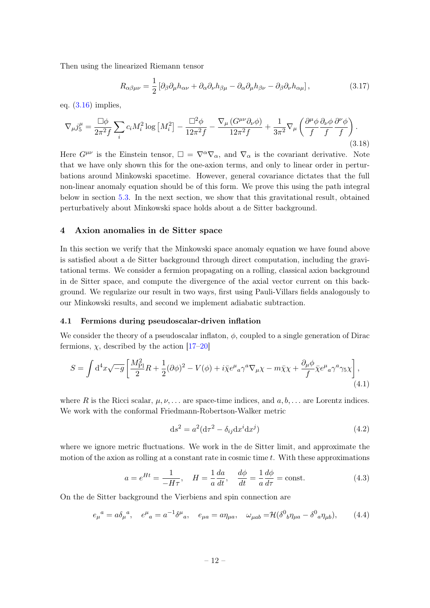Then using the linearized Riemann tensor

$$
R_{\alpha\beta\mu\nu} = \frac{1}{2} \left[ \partial_{\beta} \partial_{\mu} h_{\alpha\nu} + \partial_{\alpha} \partial_{\nu} h_{\beta\mu} - \partial_{\alpha} \partial_{\mu} h_{\beta\nu} - \partial_{\beta} \partial_{\nu} h_{\alpha\mu} \right],
$$
(3.17)

eq.  $(3.16)$  implies,

$$
\nabla_{\mu}j_{5}^{\mu} = \frac{\Box\phi}{2\pi^{2}f} \sum_{i} c_{i}M_{i}^{2}\log\left[M_{i}^{2}\right] - \frac{\Box^{2}\phi}{12\pi^{2}f} - \frac{\nabla_{\mu}\left(G^{\mu\nu}\partial_{\nu}\phi\right)}{12\pi^{2}f} + \frac{1}{3\pi^{2}}\nabla_{\mu}\left(\frac{\partial^{\mu}\phi}{f}\frac{\partial_{\nu}\phi}{f}\frac{\partial^{\nu}\phi}{f}\right). \tag{3.18}
$$

Here  $G^{\mu\nu}$  is the Einstein tensor,  $\square = \nabla^{\alpha}\nabla_{\alpha}$ , and  $\nabla_{\alpha}$  is the covariant derivative. Note that we have only shown this for the one-axion terms, and only to linear order in perturbations around Minkowski spacetime. However, general covariance dictates that the full non-linear anomaly equation should be of this form. We prove this using the path integral below in section [5.3.](#page-19-0) In the next section, we show that this gravitational result, obtained perturbatively about Minkowski space holds about a de Sitter background.

## <span id="page-12-0"></span>4 Axion anomalies in de Sitter space

In this section we verify that the Minkowski space anomaly equation we have found above is satisfied about a de Sitter background through direct computation, including the gravitational terms. We consider a fermion propagating on a rolling, classical axion background in de Sitter space, and compute the divergence of the axial vector current on this background. We regularize our result in two ways, first using Pauli-Villars fields analogously to our Minkowski results, and second we implement adiabatic subtraction.

#### <span id="page-12-1"></span>4.1 Fermions during pseudoscalar-driven inflation

We consider the theory of a pseudoscalar inflaton,  $\phi$ , coupled to a single generation of Dirac fermions,  $\chi$ , described by the action [\[17–](#page-26-16)[20\]](#page-27-3)

$$
S = \int d^4x \sqrt{-g} \left[ \frac{M_{\rm Pl}^2}{2} R + \frac{1}{2} (\partial \phi)^2 - V(\phi) + i \bar{\chi} e^{\mu}{}_a \gamma^a \nabla_{\mu} \chi - m \bar{\chi} \chi + \frac{\partial_{\mu} \phi}{f} \bar{\chi} e^{\mu}{}_a \gamma^a \gamma_5 \chi \right], \tag{4.1}
$$

where R is the Ricci scalar,  $\mu, \nu, \ldots$  are space-time indices, and  $a, b, \ldots$  are Lorentz indices. We work with the conformal Friedmann-Robertson-Walker metric

$$
ds^2 = a^2(d\tau^2 - \delta_{ij}dx^i dx^j)
$$
\n(4.2)

where we ignore metric fluctuations. We work in the de Sitter limit, and approximate the motion of the axion as rolling at a constant rate in cosmic time  $t$ . With these approximations

$$
a = e^{Ht} = \frac{1}{-H\tau}, \quad H = \frac{1}{a}\frac{da}{dt}, \quad \frac{d\phi}{dt} = \frac{1}{a}\frac{d\phi}{d\tau} = \text{const.}
$$
 (4.3)

On the de Sitter background the Vierbiens and spin connection are

$$
e_{\mu}{}^{a} = a \delta_{\mu}{}^{a}, \quad e^{\mu}{}_{a} = a^{-1} \delta^{\mu}{}_{a}, \quad e_{\mu a} = a \eta_{\mu a}, \quad \omega_{\mu ab} = \mathcal{H} (\delta^{0}{}_{b} \eta_{\mu a} - \delta^{0}{}_{a} \eta_{\mu b}), \tag{4.4}
$$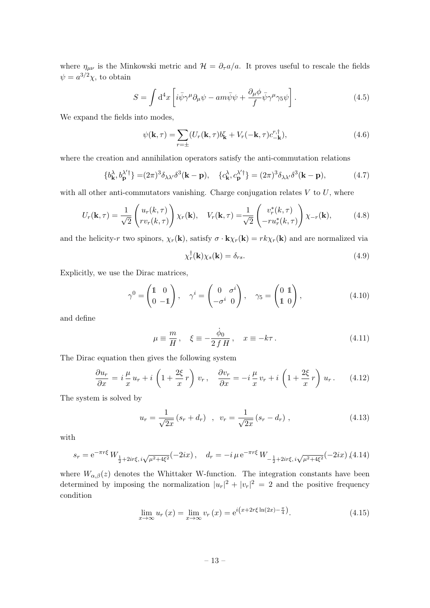where  $\eta_{\mu\nu}$  is the Minkowski metric and  $\mathcal{H} = \partial_{\tau} a/a$ . It proves useful to rescale the fields  $\psi = a^{3/2}\chi$ , to obtain

$$
S = \int d^4x \left[ i \bar{\psi} \gamma^\mu \partial_\mu \psi - a m \bar{\psi} \psi + \frac{\partial_\mu \phi}{f} \bar{\psi} \gamma^\mu \gamma_5 \psi \right]. \tag{4.5}
$$

We expand the fields into modes,

$$
\psi(\mathbf{k},\tau) = \sum_{r=\pm} (U_r(\mathbf{k},\tau)b_{\mathbf{k}}^r + V_r(-\mathbf{k},\tau)c_{-\mathbf{k}}^{r,\dagger}),
$$
\n(4.6)

where the creation and annihilation operators satisfy the anti-commutation relations

$$
\{b_{\mathbf{k}}^{\lambda}, b_{\mathbf{p}}^{\lambda' \dagger}\} = (2\pi)^3 \delta_{\lambda \lambda'} \delta^3(\mathbf{k} - \mathbf{p}), \quad \{c_{\mathbf{k}}^{\lambda}, c_{\mathbf{p}}^{\lambda' \dagger}\} = (2\pi)^3 \delta_{\lambda \lambda'} \delta^3(\mathbf{k} - \mathbf{p}), \tag{4.7}
$$

with all other anti-commutators vanishing. Charge conjugation relates  $V$  to  $U$ , where

$$
U_r(\mathbf{k}, \tau) = \frac{1}{\sqrt{2}} \begin{pmatrix} u_r(k, \tau) \\ rv_r(k, \tau) \end{pmatrix} \chi_r(\mathbf{k}), \quad V_r(\mathbf{k}, \tau) = \frac{1}{\sqrt{2}} \begin{pmatrix} v_r^*(k, \tau) \\ -ru_r^*(k, \tau) \end{pmatrix} \chi_{-r}(\mathbf{k}), \tag{4.8}
$$

and the helicity-r two spinors,  $\chi_r(\mathbf{k})$ , satisfy  $\sigma \cdot \mathbf{k} \chi_r(\mathbf{k}) = rk \chi_r(\mathbf{k})$  and are normalized via

$$
\chi_r^{\dagger}(\mathbf{k})\chi_s(\mathbf{k}) = \delta_{rs}.
$$
\n(4.9)

Explicitly, we use the Dirac matrices,

$$
\gamma^0 = \begin{pmatrix} 1 & 0 \\ 0 & -1 \end{pmatrix}, \quad \gamma^i = \begin{pmatrix} 0 & \sigma^i \\ -\sigma^i & 0 \end{pmatrix}, \quad \gamma_5 = \begin{pmatrix} 0 & 1 \\ 1 & 0 \end{pmatrix}, \tag{4.10}
$$

and define

$$
\mu \equiv \frac{m}{H}, \quad \xi \equiv -\frac{\dot{\phi}_0}{2fH}, \quad x \equiv -k\tau. \tag{4.11}
$$

The Dirac equation then gives the following system

$$
\frac{\partial u_r}{\partial x} = i \frac{\mu}{x} u_r + i \left( 1 + \frac{2\xi}{x} r \right) v_r, \quad \frac{\partial v_r}{\partial x} = -i \frac{\mu}{x} v_r + i \left( 1 + \frac{2\xi}{x} r \right) u_r. \tag{4.12}
$$

The system is solved by

$$
u_r = \frac{1}{\sqrt{2x}} (s_r + d_r) \quad , \quad v_r = \frac{1}{\sqrt{2x}} (s_r - d_r) \quad , \tag{4.13}
$$

with

<span id="page-13-0"></span>
$$
s_r = e^{-\pi r \xi} W_{\frac{1}{2} + 2ir\xi, i\sqrt{\mu^2 + 4\xi^2}}(-2ix), \quad d_r = -i \mu e^{-\pi r \xi} W_{-\frac{1}{2} + 2ir\xi, i\sqrt{\mu^2 + 4\xi^2}}(-2ix),
$$
 (4.14)

where  $W_{\alpha,\beta}(z)$  denotes the Whittaker W-function. The integration constants have been determined by imposing the normalization  $|u_r|^2 + |v_r|^2 = 2$  and the positive frequency condition

$$
\lim_{x \to \infty} u_r(x) = \lim_{x \to \infty} v_r(x) = e^{i(x + 2r\xi \ln(2x) - \frac{\pi}{4})}.
$$
\n(4.15)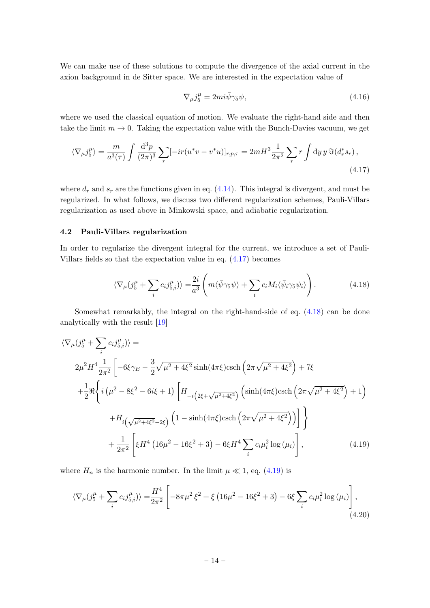We can make use of these solutions to compute the divergence of the axial current in the axion background in de Sitter space. We are interested in the expectation value of

<span id="page-14-1"></span>
$$
\nabla_{\mu}j_5^{\mu} = 2mi\bar{\psi}\gamma_5\psi,\tag{4.16}
$$

where we used the classical equation of motion. We evaluate the right-hand side and then take the limit  $m \to 0$ . Taking the expectation value with the Bunch-Davies vacuum, we get

$$
\langle \nabla_{\mu} j_5^{\mu} \rangle = \frac{m}{a^3(\tau)} \int \frac{\mathrm{d}^3 p}{(2\pi)^3} \sum_r [-ir(u^*v - v^*u)]_{r,p,\tau} = 2mH^3 \frac{1}{2\pi^2} \sum_r r \int \mathrm{d}y \, y \, \Im(d_r^*s_r) ,\tag{4.17}
$$

where  $d_r$  and  $s_r$  are the functions given in eq. [\(4.14\)](#page-13-0). This integral is divergent, and must be regularized. In what follows, we discuss two different regularization schemes, Pauli-Villars regularization as used above in Minkowski space, and adiabatic regularization.

## <span id="page-14-0"></span>4.2 Pauli-Villars regularization

In order to regularize the divergent integral for the current, we introduce a set of Pauli-Villars fields so that the expectation value in eq. [\(4.17\)](#page-14-1) becomes

<span id="page-14-2"></span>
$$
\langle \nabla_{\mu} (j_5^{\mu} + \sum_i c_i j_{5,i}^{\mu}) \rangle = \frac{2i}{a^3} \left( m \langle \bar{\psi} \gamma_5 \psi \rangle + \sum_i c_i M_i \langle \bar{\psi}_i \gamma_5 \psi_i \rangle \right). \tag{4.18}
$$

Somewhat remarkably, the integral on the right-hand-side of eq. [\(4.18\)](#page-14-2) can be done analytically with the result [\[19\]](#page-27-4)

$$
\langle \nabla_{\mu} (j_{5}^{\mu} + \sum_{i} c_{i} j_{5,i}^{\mu}) \rangle =
$$
\n
$$
2\mu^{2} H^{4} \frac{1}{2\pi^{2}} \left[ -6\xi\gamma_{E} - \frac{3}{2}\sqrt{\mu^{2} + 4\xi^{2}} \sinh(4\pi\xi) \text{csch}\left(2\pi\sqrt{\mu^{2} + 4\xi^{2}}\right) + 7\xi
$$
\n
$$
+ \frac{1}{2} \Re\left\{ i \left(\mu^{2} - 8\xi^{2} - 6i\xi + 1\right) \left[H_{-i\left(2\xi + \sqrt{\mu^{2} + 4\xi^{2}}\right)}\left(\sinh(4\pi\xi) \text{csch}\left(2\pi\sqrt{\mu^{2} + 4\xi^{2}}\right) + 1\right) \right.\right.
$$
\n
$$
+ H_{i\left(\sqrt{\mu^{2} + 4\xi^{2}} - 2\xi\right)} \left(1 - \sinh(4\pi\xi) \text{csch}\left(2\pi\sqrt{\mu^{2} + 4\xi^{2}}\right)\right) \right] \Bigg\}
$$
\n
$$
+ \frac{1}{2\pi^{2}} \left[ \xi H^{4} \left(16\mu^{2} - 16\xi^{2} + 3\right) - 6\xi H^{4} \sum_{i} c_{i} \mu_{i}^{2} \log(\mu_{i}) \right], \tag{4.19}
$$

where  $H_n$  is the harmonic number. In the limit  $\mu \ll 1$ , eq. [\(4.19\)](#page-14-3) is

<span id="page-14-3"></span>
$$
\langle \nabla_{\mu} (j_5^{\mu} + \sum_i c_i j_{5,i}^{\mu}) \rangle = \frac{H^4}{2\pi^2} \left[ -8\pi\mu^2 \xi^2 + \xi \left( 16\mu^2 - 16\xi^2 + 3 \right) - 6\xi \sum_i c_i \mu_i^2 \log \left( \mu_i \right) \right],
$$
\n(4.20)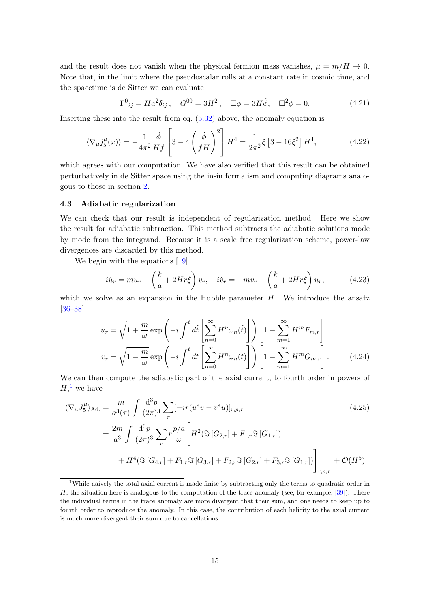and the result does not vanish when the physical fermion mass vanishes,  $\mu = m/H \rightarrow 0$ . Note that, in the limit where the pseudoscalar rolls at a constant rate in cosmic time, and the spacetime is de Sitter we can evaluate

$$
\Gamma^0{}_{ij} = H a^2 \delta_{ij} \,, \quad G^{00} = 3H^2 \,, \quad \Box \phi = 3H \dot{\phi}, \quad \Box^2 \phi = 0. \tag{4.21}
$$

Inserting these into the result from eq. [\(5.32\)](#page-20-1) above, the anomaly equation is

$$
\langle \nabla_{\mu} j_{5}^{\mu}(x) \rangle = -\frac{1}{4\pi^{2}} \frac{\dot{\phi}}{Hf} \left[ 3 - 4 \left( \frac{\dot{\phi}}{fH} \right)^{2} \right] H^{4} = \frac{1}{2\pi^{2}} \xi \left[ 3 - 16 \xi^{2} \right] H^{4}, \tag{4.22}
$$

which agrees with our computation. We have also verified that this result can be obtained perturbatively in de Sitter space using the in-in formalism and computing diagrams analogous to those in section [2.](#page-4-0)

## <span id="page-15-0"></span>4.3 Adiabatic regularization

We can check that our result is independent of regularization method. Here we show the result for adiabatic subtraction. This method subtracts the adiabatic solutions mode by mode from the integrand. Because it is a scale free regularization scheme, power-law divergences are discarded by this method.

We begin with the equations  $[19]$ 

$$
i\dot{u}_r = mu_r + \left(\frac{k}{a} + 2Hr\xi\right)v_r, \quad i\dot{v}_r = -mv_r + \left(\frac{k}{a} + 2Hr\xi\right)u_r,
$$
 (4.23)

which we solve as an expansion in the Hubble parameter  $H$ . We introduce the ansatz [\[36–](#page-27-5)[38\]](#page-28-0)

<span id="page-15-2"></span>
$$
u_r = \sqrt{1 + \frac{m}{\omega}} \exp\left(-i \int^t d\tilde{t} \left[\sum_{n=0}^{\infty} H^n \omega_n(\tilde{t})\right]\right) \left[1 + \sum_{m=1}^{\infty} H^m F_{m,r}\right],
$$
  

$$
v_r = \sqrt{1 - \frac{m}{\omega}} \exp\left(-i \int^t d\tilde{t} \left[\sum_{n=0}^{\infty} H^n \omega_n(\tilde{t})\right]\right) \left[1 + \sum_{m=1}^{\infty} H^m G_{m,r}\right].
$$
 (4.24)

We can then compute the adiabatic part of the axial current, to fourth order in powers of  $H,^1$  $H,^1$  we have

$$
\langle \nabla_{\mu} J_{5}^{\mu} \rangle_{\text{Ad.}} = \frac{m}{a^{3}(\tau)} \int \frac{d^{3}p}{(2\pi)^{3}} \sum_{r} \left[ -ir(u^{*}v - v^{*}u) \right]_{r,p,\tau}
$$
\n
$$
= \frac{2m}{a^{3}} \int \frac{d^{3}p}{(2\pi)^{3}} \sum_{r} r \frac{p/a}{\omega} \left[ H^{2}(\Im[G_{2,r}] + F_{1,r} \Im[G_{1,r}]) + H^{4}(\Im[G_{4,r}] + F_{1,r} \Im[G_{3,r}] + F_{2,r} \Im[G_{2,r}] + F_{3,r} \Im[G_{1,r}]) \right]_{r,p,\tau} + \mathcal{O}(H^{5})
$$
\n(4.25)

<span id="page-15-1"></span><sup>&</sup>lt;sup>1</sup>While naively the total axial current is made finite by subtracting only the terms to quadratic order in  $H$ , the situation here is analogous to the computation of the trace anomaly (see, for example, [\[39\]](#page-28-1)). There the individual terms in the trace anomaly are more divergent that their sum, and one needs to keep up to fourth order to reproduce the anomaly. In this case, the contribution of each helicity to the axial current is much more divergent their sum due to cancellations.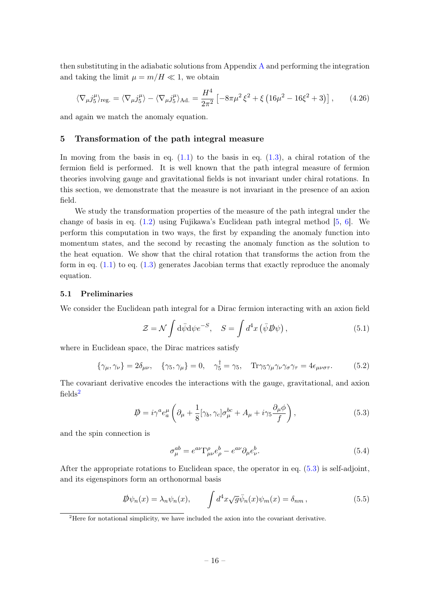then substituting in the adiabatic solutions from Appendix [A](#page-24-0) and performing the integration and taking the limit  $\mu = m/H \ll 1$ , we obtain

$$
\langle \nabla_{\mu} j_5^{\mu} \rangle_{\text{reg.}} = \langle \nabla_{\mu} j_5^{\mu} \rangle - \langle \nabla_{\mu} j_5^{\mu} \rangle_{\text{Ad.}} = \frac{H^4}{2\pi^2} \left[ -8\pi\mu^2 \xi^2 + \xi \left( 16\mu^2 - 16\xi^2 + 3 \right) \right],\tag{4.26}
$$

and again we match the anomaly equation.

## <span id="page-16-0"></span>5 Transformation of the path integral measure

In moving from the basis in eq.  $(1.1)$  to the basis in eq.  $(1.3)$ , a chiral rotation of the fermion field is performed. It is well known that the path integral measure of fermion theories involving gauge and gravitational fields is not invariant under chiral rotations. In this section, we demonstrate that the measure is not invariant in the presence of an axion field.

We study the transformation properties of the measure of the path integral under the change of basis in eq. [\(1.2\)](#page-2-3) using Fujikawa's Euclidean path integral method [\[5,](#page-26-4) [6\]](#page-26-5). We perform this computation in two ways, the first by expanding the anomaly function into momentum states, and the second by recasting the anomaly function as the solution to the heat equation. We show that the chiral rotation that transforms the action from the form in eq.  $(1.1)$  to eq.  $(1.3)$  generates Jacobian terms that exactly reproduce the anomaly equation.

#### <span id="page-16-1"></span>5.1 Preliminaries

We consider the Euclidean path integral for a Dirac fermion interacting with an axion field

$$
\mathcal{Z} = \mathcal{N} \int d\bar{\psi} d\psi e^{-S}, \quad S = \int d^4x \left( \bar{\psi} \, \mathcal{D}\psi \right), \tag{5.1}
$$

where in Euclidean space, the Dirac matrices satisfy

$$
\{\gamma_{\mu}, \gamma_{\nu}\} = 2\delta_{\mu\nu}, \quad \{\gamma_5, \gamma_{\mu}\} = 0, \quad \gamma_5^{\dagger} = \gamma_5, \quad \text{Tr}\gamma_5\gamma_{\mu}\gamma_{\nu}\gamma_{\sigma}\gamma_{\tau} = 4\epsilon_{\mu\nu\sigma\tau}.
$$
 (5.2)

The covariant derivative encodes the interactions with the gauge, gravitational, and axion  $fields<sup>2</sup>$  $fields<sup>2</sup>$  $fields<sup>2</sup>$ 

$$
\mathcal{D} = i\gamma^{a} e_{a}^{\mu} \left( \partial_{\mu} + \frac{1}{8} [\gamma_{b}, \gamma_{c}] \sigma_{\mu}^{bc} + A_{\mu} + i\gamma_{5} \frac{\partial_{\mu} \phi}{f} \right), \tag{5.3}
$$

and the spin connection is

<span id="page-16-3"></span>
$$
\sigma_{\mu}^{ab} = e^{a\nu} \Gamma_{\mu\nu}^{\rho} e_{\rho}^{b} - e^{a\nu} \partial_{\mu} e_{\nu}^{b}.
$$
\n(5.4)

After the appropriate rotations to Euclidean space, the operator in eq. [\(5.3\)](#page-16-3) is self-adjoint, and its eigenspinors form an orthonormal basis

<span id="page-16-4"></span>
$$
\mathcal{D}\psi_n(x) = \lambda_n \psi_n(x), \qquad \int d^4x \sqrt{g} \bar{\psi}_n(x) \psi_m(x) = \delta_{nm}, \qquad (5.5)
$$

<span id="page-16-2"></span><sup>&</sup>lt;sup>2</sup>Here for notational simplicity, we have included the axion into the covariant derivative.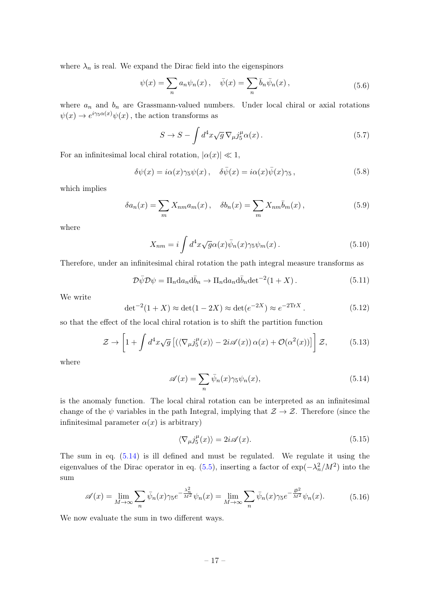where  $\lambda_n$  is real. We expand the Dirac field into the eigenspinors

$$
\psi(x) = \sum_{n} a_n \psi_n(x) , \quad \bar{\psi}(x) = \sum_{n} \bar{b}_n \bar{\psi}_n(x) , \qquad (5.6)
$$

where  $a_n$  and  $b_n$  are Grassmann-valued numbers. Under local chiral or axial rotations  $\psi(x) \to e^{i\gamma_5 \alpha(x)} \psi(x)$ , the action transforms as

$$
S \to S - \int d^4x \sqrt{g} \, \nabla_{\mu} j_5^{\mu} \alpha(x) \,. \tag{5.7}
$$

For an infinitesimal local chiral rotation,  $|\alpha(x)| \ll 1$ ,

$$
\delta\psi(x) = i\alpha(x)\gamma_5\psi(x), \quad \delta\bar{\psi}(x) = i\alpha(x)\bar{\psi}(x)\gamma_5, \tag{5.8}
$$

which implies

$$
\delta a_n(x) = \sum_m X_{nm} a_m(x), \quad \delta b_n(x) = \sum_m X_{nm} \overline{b}_m(x), \qquad (5.9)
$$

where

$$
X_{nm} = i \int d^4x \sqrt{g} \alpha(x) \bar{\psi}_n(x) \gamma_5 \psi_m(x) . \tag{5.10}
$$

Therefore, under an infinitesimal chiral rotation the path integral measure transforms as

$$
\mathcal{D}\bar{\psi}\mathcal{D}\psi = \Pi_n \mathrm{d}a_n \mathrm{d}\bar{b}_n \to \Pi_n \mathrm{d}a_n \mathrm{d}\bar{b}_n \mathrm{det}^{-2}(1+X) \,. \tag{5.11}
$$

We write

$$
\det^{-2}(1+X) \approx \det(1-2X) \approx \det(e^{-2X}) \approx e^{-2\text{Tr}X} \,. \tag{5.12}
$$

so that the effect of the local chiral rotation is to shift the partition function

$$
\mathcal{Z} \to \left[1 + \int d^4x \sqrt{g} \left[ \left(\langle \nabla_{\mu} j_5^{\mu}(x) \rangle - 2i \mathscr{A}(x) \right) \alpha(x) + \mathcal{O}(\alpha^2(x)) \right] \right] \mathcal{Z}, \tag{5.13}
$$

where

<span id="page-17-0"></span>
$$
\mathscr{A}(x) = \sum_{n} \bar{\psi}_n(x) \gamma_5 \psi_n(x), \tag{5.14}
$$

is the anomaly function. The local chiral rotation can be interpreted as an infinitesimal change of the  $\psi$  variables in the path Integral, implying that  $\mathcal{Z} \to \mathcal{Z}$ . Therefore (since the infinitesimal parameter  $\alpha(x)$  is arbitrary)

$$
\langle \nabla_{\mu} j_5^{\mu}(x) \rangle = 2i \mathscr{A}(x). \tag{5.15}
$$

The sum in eq. [\(5.14\)](#page-17-0) is ill defined and must be regulated. We regulate it using the eigenvalues of the Dirac operator in eq. [\(5.5\)](#page-16-4), inserting a factor of  $\exp(-\lambda_n^2/M^2)$  into the sum

<span id="page-17-1"></span>
$$
\mathscr{A}(x) = \lim_{M \to \infty} \sum_{n} \bar{\psi}_n(x)\gamma_5 e^{-\frac{\lambda_n^2}{M^2}} \psi_n(x) = \lim_{M \to \infty} \sum_{n} \bar{\psi}_n(x)\gamma_5 e^{-\frac{p^2}{M^2}} \psi_n(x). \tag{5.16}
$$

We now evaluate the sum in two different ways.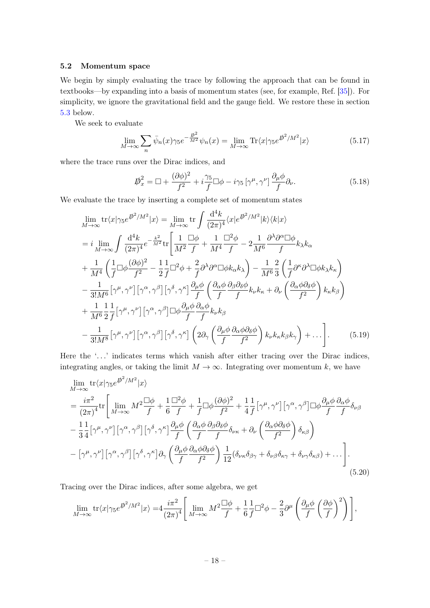## <span id="page-18-0"></span>5.2 Momentum space

We begin by simply evaluating the trace by following the approach that can be found in textbooks—by expanding into a basis of momentum states (see, for example, Ref. [\[35\]](#page-27-2)). For simplicity, we ignore the gravitational field and the gauge field. We restore these in section [5.3](#page-19-0) below.

We seek to evaluate

$$
\lim_{M \to \infty} \sum_{n} \bar{\psi}_n(x) \gamma_5 e^{-\frac{p^2}{M^2}} \psi_n(x) = \lim_{M \to \infty} \text{Tr} \langle x | \gamma_5 e^{\beta^2 / M^2} | x \rangle \tag{5.17}
$$

where the trace runs over the Dirac indices, and

$$
\mathcal{D}_x^2 = \Box + \frac{(\partial \phi)^2}{f^2} + i \frac{\gamma_5}{f} \Box \phi - i \gamma_5 \left[ \gamma^\mu, \gamma^\nu \right] \frac{\partial_\mu \phi}{f} \partial_\nu.
$$
 (5.18)

We evaluate the trace by inserting a complete set of momentum states

$$
\lim_{M \to \infty} \text{tr}\langle x|\gamma_5 e^{j^2/M^2} |x\rangle = \lim_{M \to \infty} \text{tr} \int \frac{d^4k}{(2\pi)^4} \langle x|e^{j^2/M^2} |k\rangle \langle k|x\rangle
$$
\n
$$
= i \lim_{M \to \infty} \int \frac{d^4k}{(2\pi)^4} e^{-\frac{k^2}{M^2}} \text{tr} \left[ \frac{1}{M^2} \frac{\Box \phi}{f} + \frac{1}{M^4} \frac{\Box^2 \phi}{f} - 2 \frac{1}{M^6} \frac{\partial^{\lambda} \partial^{\alpha} \Box \phi}{f} k_{\lambda} k_{\alpha} \right.
$$
\n
$$
+ \frac{1}{M^4} \left( \frac{1}{f} \Box \phi \frac{(\partial \phi)^2}{f^2} - \frac{1}{2} \frac{1}{f} \Box^2 \phi + \frac{2}{f} \partial^{\lambda} \partial^{\alpha} \Box \phi k_{\alpha} k_{\lambda} \right) - \frac{1}{M^6} \frac{2}{3} \left( \frac{1}{f} \partial^{\kappa} \partial^{\lambda} \Box \phi k_{\lambda} k_{\kappa} \right)
$$
\n
$$
- \frac{1}{3! M^6} \left[ \gamma^{\mu}, \gamma^{\nu} \right] \left[ \gamma^{\alpha}, \gamma^{\beta} \right] \left[ \gamma^{\delta}, \gamma^{\kappa} \right] \frac{\partial_{\mu} \phi}{f} \left( \frac{\partial_{\alpha} \phi}{f} \frac{\partial_{\beta} \partial_{\delta} \phi}{f} k_{\nu} k_{\kappa} + \partial_{\nu} \left( \frac{\partial_{\alpha} \phi \partial_{\delta} \phi}{f^2} \right) k_{\kappa} k_{\beta} \right)
$$
\n
$$
+ \frac{1}{M^6} \frac{1}{2} \frac{1}{f} \left[ \gamma^{\mu}, \gamma^{\nu} \right] \left[ \gamma^{\alpha}, \gamma^{\beta} \right] \Box \phi \frac{\partial_{\mu} \phi}{f} \frac{\partial_{\alpha} \phi}{f} k_{\nu} k_{\beta}
$$
\n
$$
- \frac{1}{3! M^8} \left[ \gamma^{\mu}, \gamma^{\nu} \right] \left[ \gamma^{\alpha}, \gamma^{\beta} \right] \left[ \gamma^{\delta}, \gamma
$$

Here the '...' indicates terms which vanish after either tracing over the Dirac indices, integrating angles, or taking the limit  $M \to \infty$ . Integrating over momentum k, we have

$$
\lim_{M \to \infty} \text{tr}\langle x|\gamma_5 e^{j\delta^2/M^2} |x\rangle
$$
\n
$$
= \frac{i\pi^2}{(2\pi)^4} \text{tr}\Bigg[\lim_{M \to \infty} M^2 \frac{\Box \phi}{f} + \frac{1}{6} \frac{\Box^2 \phi}{f} + \frac{1}{f} \Box \phi \frac{(\partial \phi)^2}{f^2} + \frac{1}{4} \frac{1}{f} [\gamma^\mu, \gamma^\nu] [\gamma^\alpha, \gamma^\beta] \Box \phi \frac{\partial_\mu \phi}{f} \frac{\partial_\alpha \phi}{f} \delta_{\nu\beta}
$$
\n
$$
- \frac{1}{3} \frac{1}{4} [\gamma^\mu, \gamma^\nu] [\gamma^\alpha, \gamma^\beta] [\gamma^\delta, \gamma^\kappa] \frac{\partial_\mu \phi}{f} \left(\frac{\partial_\alpha \phi}{f} \frac{\partial_\beta \partial_\delta \phi}{f} \delta_{\nu\kappa} + \partial_\nu \left(\frac{\partial_\alpha \phi \partial_\delta \phi}{f^2}\right) \delta_{\kappa\beta}\right)
$$
\n
$$
- [\gamma^\mu, \gamma^\nu] [\gamma^\alpha, \gamma^\beta] [\gamma^\delta, \gamma^\kappa] \partial_\gamma \left(\frac{\partial_\mu \phi}{f} \frac{\partial_\alpha \phi \partial_\delta \phi}{f^2}\right) \frac{1}{12} (\delta_{\nu\kappa} \delta_{\beta\gamma} + \delta_{\nu\beta} \delta_{\kappa\gamma} + \delta_{\nu\gamma} \delta_{\kappa\beta}) + \dots\Bigg]. \tag{5.20}
$$

Tracing over the Dirac indices, after some algebra, we get

$$
\lim_{M \to \infty} \text{tr} \langle x | \gamma_5 e^{\mathbf{D}^2 / M^2} | x \rangle = 4 \frac{i \pi^2}{(2\pi)^4} \left[ \lim_{M \to \infty} M^2 \frac{\Box \phi}{f} + \frac{1}{6} \frac{1}{f} \Box^2 \phi - \frac{2}{3} \partial^\mu \left( \frac{\partial_\mu \phi}{f} \left( \frac{\partial \phi}{f} \right)^2 \right) \right],
$$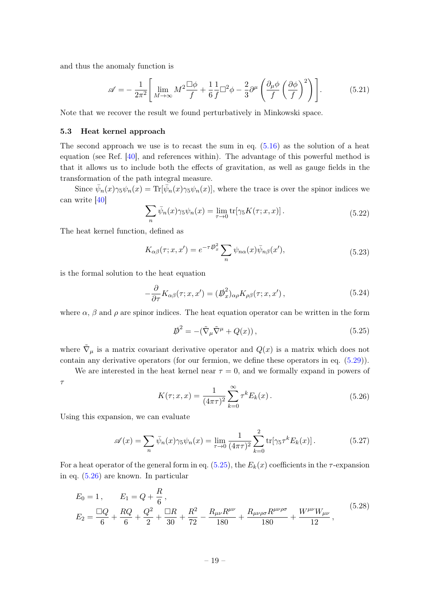and thus the anomaly function is

$$
\mathscr{A} = -\frac{1}{2\pi^2} \left[ \lim_{M \to \infty} M^2 \frac{\Box \phi}{f} + \frac{1}{6} \frac{1}{f} \Box^2 \phi - \frac{2}{3} \partial^\mu \left( \frac{\partial_\mu \phi}{f} \left( \frac{\partial \phi}{f} \right)^2 \right) \right]. \tag{5.21}
$$

Note that we recover the result we found perturbatively in Minkowski space.

#### <span id="page-19-0"></span>5.3 Heat kernel approach

The second approach we use is to recast the sum in eq.  $(5.16)$  as the solution of a heat equation (see Ref. [\[40\]](#page-28-2), and references within). The advantage of this powerful method is that it allows us to include both the effects of gravitation, as well as gauge fields in the transformation of the path integral measure.

Since  $\bar{\psi}_n(x)\gamma_5\psi_n(x) = \text{Tr}[\bar{\psi}_n(x)\gamma_5\psi_n(x)]$ , where the trace is over the spinor indices we can write [\[40\]](#page-28-2)

$$
\sum_{n} \bar{\psi}_n(x)\gamma_5\psi_n(x) = \lim_{\tau \to 0} \text{tr}[\gamma_5 K(\tau; x, x)]. \tag{5.22}
$$

The heat kernel function, defined as

$$
K_{\alpha\beta}(\tau;x,x') = e^{-\tau \vec{\mathcal{P}}_x^2} \sum_n \psi_{n\alpha}(x) \bar{\psi}_{n\beta}(x'),\tag{5.23}
$$

is the formal solution to the heat equation

$$
-\frac{\partial}{\partial \tau} K_{\alpha\beta}(\tau; x, x') = (\not{D}_x^2)_{\alpha\rho} K_{\rho\beta}(\tau; x, x'),\tag{5.24}
$$

where  $\alpha$ ,  $\beta$  and  $\rho$  are spinor indices. The heat equation operator can be written in the form

<span id="page-19-1"></span>
$$
\mathcal{D}^2 = -(\tilde{\nabla}_{\mu}\tilde{\nabla}^{\mu} + Q(x)),\tag{5.25}
$$

where  $\tilde{\nabla}_{\mu}$  is a matrix covariant derivative operator and  $Q(x)$  is a matrix which does not contain any derivative operators (for our fermion, we define these operators in eq. [\(5.29\)](#page-20-2)).

We are interested in the heat kernel near  $\tau = 0$ , and we formally expand in powers of

τ

<span id="page-19-2"></span>
$$
K(\tau; x, x) = \frac{1}{(4\pi\tau)^2} \sum_{k=0}^{\infty} \tau^k E_k(x).
$$
 (5.26)

Using this expansion, we can evaluate

<span id="page-19-3"></span>
$$
\mathscr{A}(x) = \sum_{n} \bar{\psi}_n(x) \gamma_5 \psi_n(x) = \lim_{\tau \to 0} \frac{1}{(4\pi\tau)^2} \sum_{k=0}^{2} \text{tr}[\gamma_5 \tau^k E_k(x)]. \tag{5.27}
$$

For a heat operator of the general form in eq. [\(5.25\)](#page-19-1), the  $E_k(x)$  coefficients in the  $\tau$ -expansion in eq. [\(5.26\)](#page-19-2) are known. In particular

$$
E_0 = 1, \qquad E_1 = Q + \frac{R}{6},
$$
  
\n
$$
E_2 = \frac{\Box Q}{6} + \frac{RQ}{6} + \frac{Q^2}{2} + \frac{\Box R}{30} + \frac{R^2}{72} - \frac{R_{\mu\nu}R^{\mu\nu}}{180} + \frac{R_{\mu\nu\rho\sigma}R^{\mu\nu\rho\sigma}}{180} + \frac{W^{\mu\nu}W_{\mu\nu}}{12},
$$
\n
$$
(5.28)
$$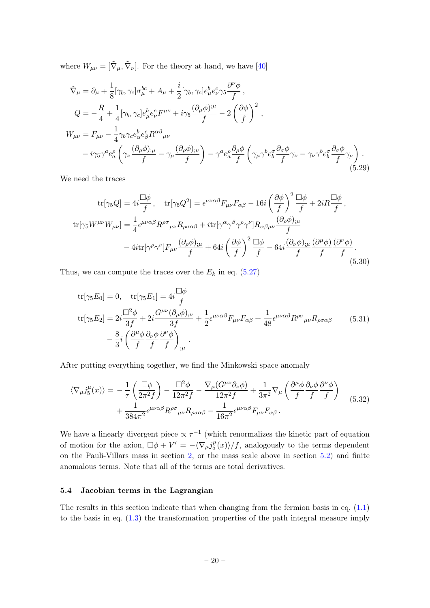where  $W_{\mu\nu} = [\tilde{\nabla}_{\mu}, \tilde{\nabla}_{\nu}]$ . For the theory at hand, we have [\[40\]](#page-28-2)

<span id="page-20-2"></span>
$$
\tilde{\nabla}_{\mu} = \partial_{\mu} + \frac{1}{8} [\gamma_b, \gamma_c] \sigma_{\mu}^{bc} + A_{\mu} + \frac{i}{2} [\gamma_b, \gamma_c] e_{\mu}^{b} e_{\nu}^{c} \gamma_5 \frac{\partial^{\nu} \phi}{f},
$$
\n
$$
Q = -\frac{R}{4} + \frac{1}{4} [\gamma_b, \gamma_c] e_{\mu}^{b} e_{\nu}^{c} F^{\mu \nu} + i \gamma_5 \frac{(\partial_{\mu} \phi)^{;\mu}}{f} - 2 \left(\frac{\partial \phi}{f}\right)^2,
$$
\n
$$
W_{\mu \nu} = F_{\mu \nu} - \frac{1}{4} \gamma_b \gamma_c e_{\alpha}^{b} e_{\beta}^{c} R^{\alpha \beta}{}_{\mu \nu}
$$
\n
$$
- i \gamma_5 \gamma^a e_a^{\rho} \left( \gamma_{\nu} \frac{(\partial_{\rho} \phi)_{;\mu}}{f} - \gamma_{\mu} \frac{(\partial_{\rho} \phi)_{;\nu}}{f} \right) - \gamma^a e_a^{\rho} \frac{\partial_{\rho} \phi}{f} \left( \gamma_{\mu} \gamma^b e_{b}^{\sigma} \frac{\partial_{\sigma} \phi}{f} \gamma_{\nu} - \gamma_{\nu} \gamma^b e_{b}^{\sigma} \frac{\partial_{\sigma} \phi}{f} \gamma_{\mu} \right).
$$
\n(5.29)

We need the traces

$$
\text{tr}[\gamma_5 Q] = 4i \frac{\Box \phi}{f}, \quad \text{tr}[\gamma_5 Q^2] = \epsilon^{\mu\nu\alpha\beta} F_{\mu\nu} F_{\alpha\beta} - 16i \left(\frac{\partial \phi}{f}\right)^2 \frac{\Box \phi}{f} + 2iR \frac{\Box \phi}{f},
$$
\n
$$
\text{tr}[\gamma_5 W^{\mu\nu} W_{\mu\nu}] = \frac{1}{4} \epsilon^{\mu\nu\alpha\beta} R^{\rho\sigma}{}_{\mu\nu} R_{\rho\sigma\alpha\beta} + i \text{tr}[\gamma^{\alpha} \gamma^{\beta} \gamma^{\rho} \gamma^{\nu}] R_{\alpha\beta\mu\nu} \frac{(\partial_{\rho} \phi)_{;\mu}}{f} - 4i \text{tr}[\gamma^{\rho} \gamma^{\nu}] F_{\mu\nu} \frac{(\partial_{\rho} \phi)_{;\mu}}{f} + 64i \left(\frac{\partial \phi}{f}\right)^2 \frac{\Box \phi}{f} - 64i \frac{(\partial_{\nu} \phi)_{;\mu}}{f} \frac{(\partial^{\mu} \phi)}{f} \frac{(\partial^{\nu} \phi)}{f}.
$$
\n(5.30)

Thus, we can compute the traces over the  $E_k$  in eq. [\(5.27\)](#page-19-3)

$$
\text{tr}[\gamma_5 E_0] = 0, \quad \text{tr}[\gamma_5 E_1] = 4i \frac{\Box \phi}{f}
$$
\n
$$
\text{tr}[\gamma_5 E_2] = 2i \frac{\Box^2 \phi}{3f} + 2i \frac{G^{\mu \nu}(\partial_{\mu} \phi)_{;\nu}}{3f} + \frac{1}{2} \epsilon^{\mu \nu \alpha \beta} F_{\mu \nu} F_{\alpha \beta} + \frac{1}{48} \epsilon^{\mu \nu \alpha \beta} R^{\rho \sigma}{}_{\mu \nu} R_{\rho \sigma \alpha \beta} \tag{5.31}
$$
\n
$$
- \frac{8}{3}i \left( \frac{\partial^{\mu} \phi}{f} \frac{\partial_{\nu} \phi}{f} \frac{\partial^{\nu} \phi}{f} \right)_{;\mu}.
$$

After putting everything together, we find the Minkowski space anomaly

<span id="page-20-1"></span>
$$
\langle \nabla_{\mu} j_{5}^{\mu}(x) \rangle = -\frac{1}{\tau} \left( \frac{\Box \phi}{2\pi^{2} f} \right) - \frac{\Box^{2} \phi}{12\pi^{2} f} - \frac{\nabla_{\mu} (G^{\mu\nu} \partial_{\nu} \phi)}{12\pi^{2} f} + \frac{1}{3\pi^{2}} \nabla_{\mu} \left( \frac{\partial^{\mu} \phi}{f} \frac{\partial_{\nu} \phi}{f} \frac{\partial^{\nu} \phi}{f} \right) + \frac{1}{384\pi^{2}} \epsilon^{\mu\nu\alpha\beta} R^{\rho\sigma}{}_{\mu\nu} R_{\rho\sigma\alpha\beta} - \frac{1}{16\pi^{2}} \epsilon^{\mu\nu\alpha\beta} F_{\mu\nu} F_{\alpha\beta} .
$$
 (5.32)

We have a linearly divergent piece  $\propto \tau^{-1}$  (which renormalizes the kinetic part of equation of motion for the axion,  $\Box \phi + V' = -\langle \nabla_{\mu} j_5^{\mu} \rangle$  $\binom{\mu}{5}(x)/f$ , analogously to the terms dependent on the Pauli-Villars mass in section [2,](#page-4-0) or the mass scale above in section [5.2\)](#page-18-0) and finite anomalous terms. Note that all of the terms are total derivatives.

## <span id="page-20-0"></span>5.4 Jacobian terms in the Lagrangian

The results in this section indicate that when changing from the fermion basis in eq. [\(1.1\)](#page-2-0) to the basis in eq.  $(1.3)$  the transformation properties of the path integral measure imply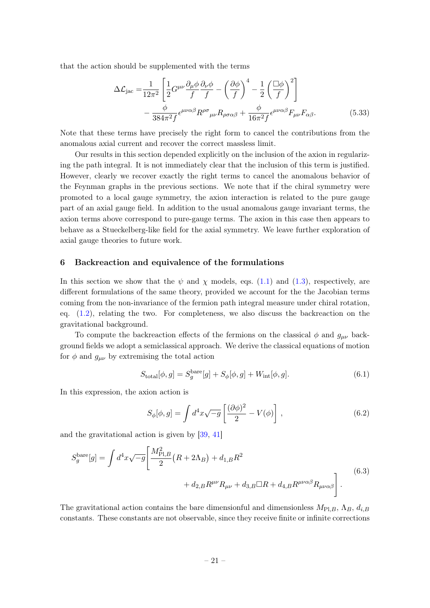that the action should be supplemented with the terms

$$
\Delta \mathcal{L}_{\text{jac}} = \frac{1}{12\pi^2} \left[ \frac{1}{2} G^{\mu\nu} \frac{\partial_{\mu} \phi}{f} \frac{\partial_{\nu} \phi}{f} - \left( \frac{\partial \phi}{f} \right)^4 - \frac{1}{2} \left( \frac{\Box \phi}{f} \right)^2 \right] - \frac{\phi}{384\pi^2 f} \epsilon^{\mu\nu\alpha\beta} R^{\rho\sigma}{}_{\mu\nu} R_{\rho\sigma\alpha\beta} + \frac{\phi}{16\pi^2 f} \epsilon^{\mu\nu\alpha\beta} F_{\mu\nu} F_{\alpha\beta}.
$$
 (5.33)

Note that these terms have precisely the right form to cancel the contributions from the anomalous axial current and recover the correct massless limit.

Our results in this section depended explicitly on the inclusion of the axion in regularizing the path integral. It is not immediately clear that the inclusion of this term is justified. However, clearly we recover exactly the right terms to cancel the anomalous behavior of the Feynman graphs in the previous sections. We note that if the chiral symmetry were promoted to a local gauge symmetry, the axion interaction is related to the pure gauge part of an axial gauge field. In addition to the usual anomalous gauge invariant terms, the axion terms above correspond to pure-gauge terms. The axion in this case then appears to behave as a Stueckelberg-like field for the axial symmetry. We leave further exploration of axial gauge theories to future work.

#### <span id="page-21-0"></span>6 Backreaction and equivalence of the formulations

In this section we show that the  $\psi$  and  $\chi$  models, eqs. [\(1.1\)](#page-2-0) and [\(1.3\)](#page-2-1), respectively, are different formulations of the same theory, provided we account for the the Jacobian terms coming from the non-invariance of the fermion path integral measure under chiral rotation, eq.  $(1.2)$ , relating the two. For completeness, we also discuss the backreaction on the gravitational background.

To compute the backreaction effects of the fermions on the classical  $\phi$  and  $g_{\mu\nu}$  background fields we adopt a semiclassical approach. We derive the classical equations of motion for  $\phi$  and  $g_{\mu\nu}$  by extremising the total action

$$
S_{\text{total}}[\phi, g] = S_g^{\text{bare}}[g] + S_{\phi}[\phi, g] + W_{\text{int}}[\phi, g]. \tag{6.1}
$$

In this expression, the axion action is

$$
S_{\phi}[\phi, g] = \int d^4x \sqrt{-g} \left[ \frac{(\partial \phi)^2}{2} - V(\phi) \right], \qquad (6.2)
$$

and the gravitational action is given by [\[39,](#page-28-1) [41\]](#page-28-3)

<span id="page-21-1"></span>
$$
S_g^{\text{bare}}[g] = \int d^4x \sqrt{-g} \left[ \frac{M_{\text{Pl},B}^2}{2} \left( R + 2\Lambda_B \right) + d_{1,B} R^2 + d_{2,B} R^{\mu\nu} R_{\mu\nu} + d_{3,B} \Box R + d_{4,B} R^{\mu\nu\alpha\beta} R_{\mu\nu\alpha\beta} \right]. \tag{6.3}
$$

The gravitational action contains the bare dimensionful and dimensionless  $M_{\text{Pl},B}$ ,  $\Lambda_B$ ,  $d_{i,B}$ constants. These constants are not observable, since they receive finite or infinite corrections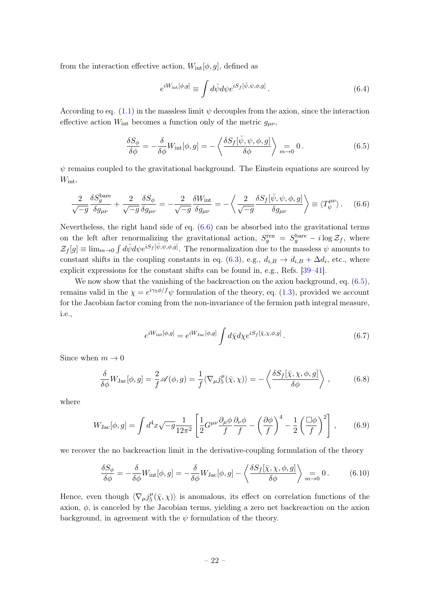from the interaction effective action,  $W_{\text{int}}[\phi, g]$ , defined as

<span id="page-22-1"></span><span id="page-22-0"></span>
$$
e^{iW_{\rm int}[\phi,g]} \equiv \int d\bar{\psi} d\psi e^{iS_f[\bar{\psi},\psi,\phi,g]} \,. \tag{6.4}
$$

According to eq.  $(1.1)$  in the massless limit  $\psi$  decouples from the axion, since the interaction effective action  $W_{\text{int}}$  becomes a function only of the metric  $g_{\mu\nu}$ ,

$$
\frac{\delta S_{\phi}}{\delta \phi} = -\frac{\delta}{\delta \phi} W_{\rm int}[\phi, g] = -\left\langle \frac{\delta S_f[\bar{\psi}, \psi, \phi, g]}{\delta \phi} \right\rangle_{m \to 0} = 0. \tag{6.5}
$$

 $\psi$  remains coupled to the gravitational background. The Einstein equations are sourced by  $W_{\text{int}},$ 

$$
\frac{2}{\sqrt{-g}} \frac{\delta S_g^{\text{bare}}}{\delta g_{\mu\nu}} + \frac{2}{\sqrt{-g}} \frac{\delta S_\phi}{\delta g_{\mu\nu}} = -\frac{2}{\sqrt{-g}} \frac{\delta W_{\text{int}}}{\delta g_{\mu\nu}} = -\left\langle \frac{2}{\sqrt{-g}} \frac{\delta S_f[\bar{\psi}, \psi, \phi, g]}{\delta g_{\mu\nu}} \right\rangle \equiv \langle T_{\psi}^{\mu\nu} \rangle. \tag{6.6}
$$

Nevertheless, the right hand side of eq. [\(6.6\)](#page-22-0) can be absorbed into the gravitational terms on the left after renormalizing the gravitational action,  $S_g^{\text{ren}} = S_g^{\text{bare}} - i \log \mathcal{Z}_f$ , where  $\mathcal{Z}_f[g] \equiv \lim_{m\to 0} \int d\bar{\psi}d\psi e^{iS_f[\bar{\psi},\psi,\phi,g]}$ . The renormalization due to the massless  $\psi$  amounts to constant shifts in the coupling constants in eq. [\(6.3\)](#page-21-1), e.g.,  $d_{i,B} \to d_{i,B} + \Delta d_i$ , etc., where explicit expressions for the constant shifts can be found in, e.g., Refs. [\[39–](#page-28-1)[41\]](#page-28-3).

We now show that the vanishing of the backreaction on the axion background, eq.  $(6.5)$ , remains valid in the  $\chi = e^{i\gamma_5 \phi/f} \psi$  formulation of the theory, eq. [\(1.3\)](#page-2-1), provided we account for the Jacobian factor coming from the non-invariance of the fermion path integral measure, i.e.,

<span id="page-22-2"></span>
$$
e^{iW_{\rm int}[\phi,g]} = e^{iW_{\rm Jac}[\phi,g]} \int d\bar{\chi} d\chi e^{iS_f[\bar{\chi},\chi,\phi,g]}.
$$
\n(6.7)

Since when  $m \to 0$ 

$$
\frac{\delta}{\delta \phi} W_{\text{Jac}}[\phi, g] = \frac{2}{f} \mathscr{A}(\phi, g) = \frac{1}{f} \langle \nabla_{\mu} j_5^{\mu}(\bar{\chi}, \chi) \rangle = -\left\langle \frac{\delta S_f[\bar{\chi}, \chi, \phi, g]}{\delta \phi} \right\rangle, \tag{6.8}
$$

where

$$
W_{\text{Jac}}[\phi, g] = \int d^4x \sqrt{-g} \frac{1}{12\pi^2} \left[ \frac{1}{2} G^{\mu\nu} \frac{\partial_\mu \phi}{f} \frac{\partial_\nu \phi}{f} - \left( \frac{\partial \phi}{f} \right)^4 - \frac{1}{2} \left( \frac{\Box \phi}{f} \right)^2 \right],\tag{6.9}
$$

we recover the no backreaction limit in the derivative-coupling formulation of the theory

$$
\frac{\delta S_{\phi}}{\delta \phi} = -\frac{\delta}{\delta \phi} W_{\rm int}[\phi, g] = -\frac{\delta}{\delta \phi} W_{\rm Jac}[\phi, g] - \left\langle \frac{\delta S_f[\bar{\chi}, \chi, \phi, g]}{\delta \phi} \right\rangle \underset{m \to 0}{=} 0. \tag{6.10}
$$

Hence, even though  $\langle \nabla_{\mu} j_5^{\mu} \rangle$  $\langle \frac{\mu}{5}(\bar{\chi}, \chi) \rangle$  is anomalous, its effect on correlation functions of the axion,  $\phi$ , is canceled by the Jacobian terms, yielding a zero net backreaction on the axion background, in agreement with the  $\psi$  formulation of the theory.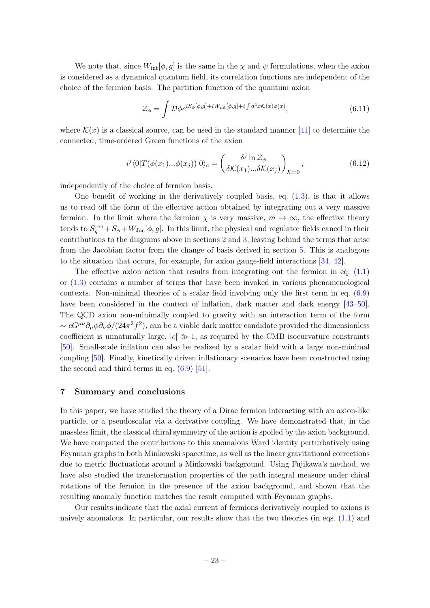We note that, since  $W_{\text{int}}[\phi, g]$  is the same in the  $\chi$  and  $\psi$  formulations, when the axion is considered as a dynamical quantum field, its correlation functions are independent of the choice of the fermion basis. The partition function of the quantum axion

$$
\mathcal{Z}_{\phi} = \int \mathcal{D}\phi e^{iS_{\phi}[\phi,g] + iW_{\rm int}[\phi,g] + i\int d^4x \mathcal{K}(x)\phi(x)},\tag{6.11}
$$

where  $\mathcal{K}(x)$  is a classical source, can be used in the standard manner [\[41\]](#page-28-3) to determine the connected, time-ordered Green functions of the axion

$$
i^j \langle 0|T(\phi(x_1)...\phi(x_j))|0\rangle_c = \left(\frac{\delta^j \ln \mathcal{Z}_\phi}{\delta \mathcal{K}(x_1)...\delta \mathcal{K}(x_j)}\right)_{\mathcal{K}=0},\tag{6.12}
$$

independently of the choice of fermion basis.

One benefit of working in the derivatively coupled basis, eq.  $(1.3)$ , is that it allows us to read off the form of the effective action obtained by integrating out a very massive fermion. In the limit where the fermion  $\chi$  is very massive,  $m \to \infty$ , the effective theory tends to  $S_g^{\text{ren}} + S_\phi + W_{\text{Jac}}[\phi, g]$ . In this limit, the physical and regulator fields cancel in their contributions to the diagrams above in sections [2](#page-4-0) and [3,](#page-8-0) leaving behind the terms that arise from the Jacobian factor from the change of basis derived in section [5.](#page-16-0) This is analogous to the situation that occurs, for example, for axion gauge-field interactions [\[34,](#page-27-1) [42\]](#page-28-4).

The effective axion action that results from integrating out the fermion in eq.  $(1.1)$ or [\(1.3\)](#page-2-1) contains a number of terms that have been invoked in various phenomenological contexts. Non-minimal theories of a scalar field involving only the first term in eq. [\(6.9\)](#page-22-2) have been considered in the context of inflation, dark matter and dark energy [\[43–](#page-28-5)[50\]](#page-28-6). The QCD axion non-minimally coupled to gravity with an interaction term of the form  $\sim cG^{\mu\nu}\partial_{\mu}\phi\partial_{\nu}\phi/(24\pi^2f^2)$ , can be a viable dark matter candidate provided the dimensionless coefficient is unnaturally large,  $|c| \gg 1$ , as required by the CMB isocurvature constraints [\[50\]](#page-28-6). Small-scale inflation can also be realized by a scalar field with a large non-minimal coupling [\[50\]](#page-28-6). Finally, kinetically driven inflationary scenarios have been constructed using the second and third terms in eq.  $(6.9)$  [\[51\]](#page-28-7).

## <span id="page-23-0"></span>7 Summary and conclusions

In this paper, we have studied the theory of a Dirac fermion interacting with an axion-like particle, or a pseudoscalar via a derivative coupling. We have demonstrated that, in the massless limit, the classical chiral symmetry of the action is spoiled by the axion background. We have computed the contributions to this anomalous Ward identity perturbatively using Feynman graphs in both Minkowski spacetime, as well as the linear gravitational corrections due to metric fluctuations around a Minkowski background. Using Fujikawa's method, we have also studied the transformation properties of the path integral measure under chiral rotations of the fermion in the presence of the axion background, and shown that the resulting anomaly function matches the result computed with Feynman graphs.

Our results indicate that the axial current of fermions derivatively coupled to axions is naively anomalous. In particular, our results show that the two theories (in eqs. [\(1.1\)](#page-2-0) and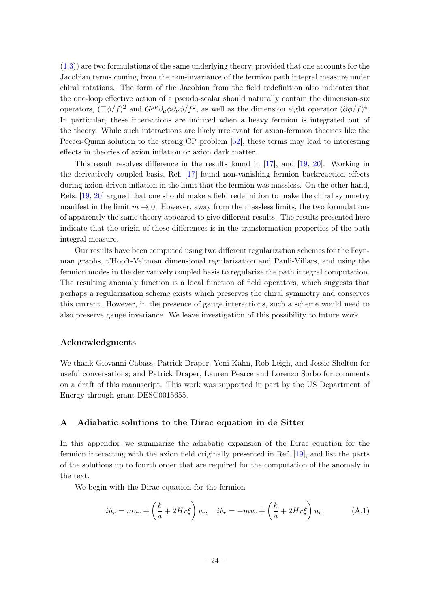[\(1.3\)](#page-2-1)) are two formulations of the same underlying theory, provided that one accounts for the Jacobian terms coming from the non-invariance of the fermion path integral measure under chiral rotations. The form of the Jacobian from the field redefinition also indicates that the one-loop effective action of a pseudo-scalar should naturally contain the dimension-six operators,  $(\Box \phi/f)^2$  and  $G^{\mu\nu}\partial_{\mu}\phi\partial_{\nu}\phi/f^2$ , as well as the dimension eight operator  $(\partial \phi/f)^4$ . In particular, these interactions are induced when a heavy fermion is integrated out of the theory. While such interactions are likely irrelevant for axion-fermion theories like the Peccei-Quinn solution to the strong CP problem [\[52\]](#page-28-8), these terms may lead to interesting effects in theories of axion inflation or axion dark matter.

This result resolves difference in the results found in [\[17\]](#page-26-16), and [\[19,](#page-27-4) [20\]](#page-27-3). Working in the derivatively coupled basis, Ref. [\[17\]](#page-26-16) found non-vanishing fermion backreaction effects during axion-driven inflation in the limit that the fermion was massless. On the other hand, Refs. [\[19,](#page-27-4) [20\]](#page-27-3) argued that one should make a field redefinition to make the chiral symmetry manifest in the limit  $m \to 0$ . However, away from the massless limits, the two formulations of apparently the same theory appeared to give different results. The results presented here indicate that the origin of these differences is in the transformation properties of the path integral measure.

Our results have been computed using two different regularization schemes for the Feynman graphs, t'Hooft-Veltman dimensional regularization and Pauli-Villars, and using the fermion modes in the derivatively coupled basis to regularize the path integral computation. The resulting anomaly function is a local function of field operators, which suggests that perhaps a regularization scheme exists which preserves the chiral symmetry and conserves this current. However, in the presence of gauge interactions, such a scheme would need to also preserve gauge invariance. We leave investigation of this possibility to future work.

## Acknowledgments

We thank Giovanni Cabass, Patrick Draper, Yoni Kahn, Rob Leigh, and Jessie Shelton for useful conversations; and Patrick Draper, Lauren Pearce and Lorenzo Sorbo for comments on a draft of this manuscript. This work was supported in part by the US Department of Energy through grant DESC0015655.

## <span id="page-24-0"></span>A Adiabatic solutions to the Dirac equation in de Sitter

In this appendix, we summarize the adiabatic expansion of the Dirac equation for the fermion interacting with the axion field originally presented in Ref. [\[19\]](#page-27-4), and list the parts of the solutions up to fourth order that are required for the computation of the anomaly in the text.

We begin with the Dirac equation for the fermion

$$
i\dot{u}_r = mu_r + \left(\frac{k}{a} + 2Hr\xi\right)v_r, \quad i\dot{v}_r = -mv_r + \left(\frac{k}{a} + 2Hr\xi\right)u_r.
$$
 (A.1)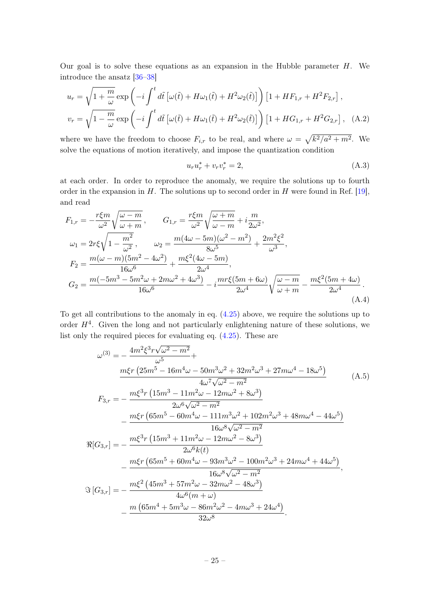Our goal is to solve these equations as an expansion in the Hubble parameter  $H$ . We introduce the ansatz [\[36](#page-27-5)[–38\]](#page-28-0)

$$
u_r = \sqrt{1 + \frac{m}{\omega}} \exp\left(-i \int^t d\tilde{t} \left[\omega(\tilde{t}) + H\omega_1(\tilde{t}) + H^2\omega_2(\tilde{t})\right]\right) \left[1 + HF_{1,r} + H^2F_{2,r}\right],
$$
  

$$
v_r = \sqrt{1 - \frac{m}{\omega}} \exp\left(-i \int^t d\tilde{t} \left[\omega(\tilde{t}) + H\omega_1(\tilde{t}) + H^2\omega_2(\tilde{t})\right]\right) \left[1 + HG_{1,r} + H^2G_{2,r}\right],
$$
 (A.2)

where we have the freedom to choose  $F_{i,r}$  to be real, and where  $\omega = \sqrt{k^2/a^2 + m^2}$ . We solve the equations of motion iteratively, and impose the quantization condition

$$
u_r u_r^* + v_r v_r^* = 2,
$$
\n(A.3)

at each order. In order to reproduce the anomaly, we require the solutions up to fourth order in the expansion in  $H$ . The solutions up to second order in  $H$  were found in Ref. [\[19\]](#page-27-4), and read

$$
F_{1,r} = -\frac{r\xi m}{\omega^2} \sqrt{\frac{\omega - m}{\omega + m}}, \qquad G_{1,r} = \frac{r\xi m}{\omega^2} \sqrt{\frac{\omega + m}{\omega - m}} + i \frac{m}{2\omega^2},
$$
  
\n
$$
\omega_1 = 2r\xi \sqrt{1 - \frac{m^2}{\omega^2}}, \qquad \omega_2 = \frac{m(4\omega - 5m)(\omega^2 - m^2)}{8\omega^5} + \frac{2m^2\xi^2}{\omega^3},
$$
  
\n
$$
F_2 = \frac{m(\omega - m)(5m^2 - 4\omega^2)}{16\omega^6} + \frac{m\xi^2(4\omega - 5m)}{2\omega^4},
$$
  
\n
$$
G_2 = \frac{m(-5m^3 - 5m^2\omega + 2m\omega^2 + 4\omega^3)}{16\omega^6} - i \frac{mr\xi(5m + 6\omega)}{2\omega^4} \sqrt{\frac{\omega - m}{\omega + m}} - \frac{m\xi^2(5m + 4\omega)}{2\omega^4}.
$$
  
\n(A.4)

To get all contributions to the anomaly in eq. [\(4.25\)](#page-15-2) above, we require the solutions up to order  $H<sup>4</sup>$ . Given the long and not particularly enlightening nature of these solutions, we list only the required pieces for evaluating eq. [\(4.25\)](#page-15-2). These are

$$
\omega^{(3)} = -\frac{4m^2\xi^3r\sqrt{\omega^2 - m^2}}{\omega^5} +
$$
\n
$$
\frac{m\xi r (25m^5 - 16m^4\omega - 50m^3\omega^2 + 32m^2\omega^3 + 27m\omega^4 - 18\omega^5)}{4\omega^7\sqrt{\omega^2 - m^2}}
$$
\n
$$
F_{3,r} = -\frac{m\xi^3r (15m^3 - 11m^2\omega - 12m\omega^2 + 8\omega^3)}{2\omega^6\sqrt{\omega^2 - m^2}} - \frac{m\xi r (65m^5 - 60m^4\omega - 111m^3\omega^2 + 102m^2\omega^3 + 48m\omega^4 - 44\omega^5)}{16\omega^8\sqrt{\omega^2 - m^2}} - \frac{m\xi^3r (15m^3 + 11m^2\omega - 12m\omega^2 - 8\omega^3)}{2\omega^6 k(t)} - \frac{m\xi r (65m^5 + 60m^4\omega - 93m^3\omega^2 - 100m^2\omega^3 + 24m\omega^4 + 44\omega^5)}{16\omega^8\sqrt{\omega^2 - m^2}},
$$
\n
$$
\Im[G_{3,r}] = -\frac{m\xi^2 (45m^3 + 57m^2\omega - 32m\omega^2 - 48\omega^3)}{4\omega^6(m + \omega)} - \frac{m (65m^4 + 5m^3\omega - 86m^2\omega^2 - 4m\omega^3 + 24\omega^4)}{32\omega^8}.
$$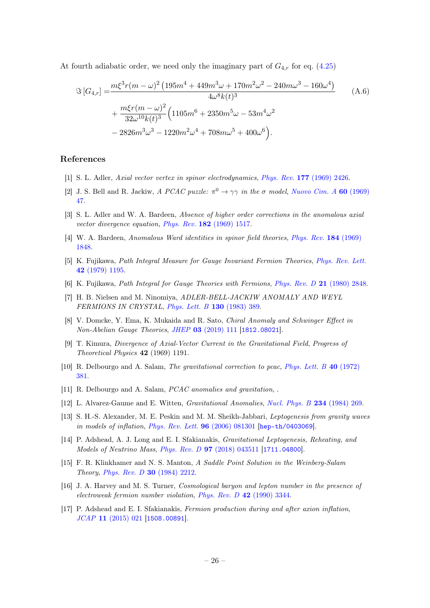At fourth adiabatic order, we need only the imaginary part of  $G_{4,r}$  for eq. [\(4.25\)](#page-15-2)

$$
\Im\left[G_{4,r}\right] = \frac{m\xi^3 r(m-\omega)^2 \left(195m^4 + 449m^3\omega + 170m^2\omega^2 - 240m\omega^3 - 160\omega^4\right)}{4\omega^8 k(t)^3} + \frac{m\xi r(m-\omega)^2}{32\omega^{10} k(t)^3} \left(1105m^6 + 2350m^5\omega - 53m^4\omega^2\right) - 2826m^3\omega^3 - 1220m^2\omega^4 + 708m\omega^5 + 400\omega^6\right).
$$
\n(A.6)

## References

- <span id="page-26-0"></span>[1] S. L. Adler, Axial vector vertex in spinor electrodynamics, Phys. Rev. 177 [\(1969\) 2426.](https://doi.org/10.1103/PhysRev.177.2426)
- <span id="page-26-1"></span>[2] J. S. Bell and R. Jackiw, A PCAC puzzle:  $\pi^0 \to \gamma\gamma$  in the  $\sigma$  model, [Nuovo Cim. A](https://doi.org/10.1007/BF02823296) 60 (1969) [47.](https://doi.org/10.1007/BF02823296)
- <span id="page-26-2"></span>[3] S. L. Adler and W. A. Bardeen, Absence of higher order corrections in the anomalous axial vector divergence equation, Phys. Rev. 182 [\(1969\) 1517.](https://doi.org/10.1103/PhysRev.182.1517)
- <span id="page-26-3"></span>[4] W. A. Bardeen, Anomalous Ward identities in spinor field theories, [Phys. Rev.](https://doi.org/10.1103/PhysRev.184.1848) 184 (1969) [1848.](https://doi.org/10.1103/PhysRev.184.1848)
- <span id="page-26-4"></span>[5] K. Fujikawa, Path Integral Measure for Gauge Invariant Fermion Theories, [Phys. Rev. Lett.](https://doi.org/10.1103/PhysRevLett.42.1195) 42 [\(1979\) 1195.](https://doi.org/10.1103/PhysRevLett.42.1195)
- <span id="page-26-5"></span>[6] K. Fujikawa, Path Integral for Gauge Theories with Fermions, [Phys. Rev. D](https://doi.org/10.1103/PhysRevD.21.2848) 21 (1980) 2848.
- <span id="page-26-6"></span>[7] H. B. Nielsen and M. Ninomiya, ADLER-BELL-JACKIW ANOMALY AND WEYL FERMIONS IN CRYSTAL, [Phys. Lett. B](https://doi.org/10.1016/0370-2693(83)91529-0) 130 (1983) 389.
- <span id="page-26-7"></span>[8] V. Domcke, Y. Ema, K. Mukaida and R. Sato, Chiral Anomaly and Schwinger Effect in Non-Abelian Gauge Theories, JHEP 03 [\(2019\) 111](https://doi.org/10.1007/JHEP03(2019)111) [[1812.08021](https://arxiv.org/abs/1812.08021)].
- <span id="page-26-8"></span>[9] T. Kimura, Divergence of Axial-Vector Current in the Gravitational Field, Progress of Theoretical Physics 42 (1969) 1191.
- <span id="page-26-9"></span>[10] R. Delbourgo and A. Salam, *The gravitational correction to pcac*, *[Phys. Lett. B](https://doi.org/10.1016/0370-2693(72)90825-8)* 40 (1972) [381.](https://doi.org/10.1016/0370-2693(72)90825-8)
- <span id="page-26-10"></span>[11] R. Delbourgo and A. Salam, *PCAC anomalies and gravitation*, .
- <span id="page-26-11"></span>[12] L. Alvarez-Gaume and E. Witten, Gravitational Anomalies, [Nucl. Phys. B](https://doi.org/10.1016/0550-3213(84)90066-X) 234 (1984) 269.
- <span id="page-26-12"></span>[13] S. H.-S. Alexander, M. E. Peskin and M. M. Sheikh-Jabbari, Leptogenesis from gravity waves in models of inflation, [Phys. Rev. Lett.](https://doi.org/10.1103/PhysRevLett.96.081301) 96 (2006) 081301 [[hep-th/0403069](https://arxiv.org/abs/hep-th/0403069)].
- <span id="page-26-13"></span>[14] P. Adshead, A. J. Long and E. I. Sfakianakis, Gravitational Leptogenesis, Reheating, and Models of Neutrino Mass, Phys. Rev. D 97 [\(2018\) 043511](https://doi.org/10.1103/PhysRevD.97.043511) [[1711.04800](https://arxiv.org/abs/1711.04800)].
- <span id="page-26-14"></span>[15] F. R. Klinkhamer and N. S. Manton, A Saddle Point Solution in the Weinberg-Salam Theory, [Phys. Rev. D](https://doi.org/10.1103/PhysRevD.30.2212) 30 (1984) 2212.
- <span id="page-26-15"></span>[16] J. A. Harvey and M. S. Turner, Cosmological baryon and lepton number in the presence of electroweak fermion number violation, [Phys. Rev. D](https://doi.org/10.1103/PhysRevD.42.3344) 42 (1990) 3344.
- <span id="page-26-16"></span>[17] P. Adshead and E. I. Sfakianakis, Fermion production during and after axion inflation, JCAP 11 [\(2015\) 021](https://doi.org/10.1088/1475-7516/2015/11/021) [[1508.00891](https://arxiv.org/abs/1508.00891)].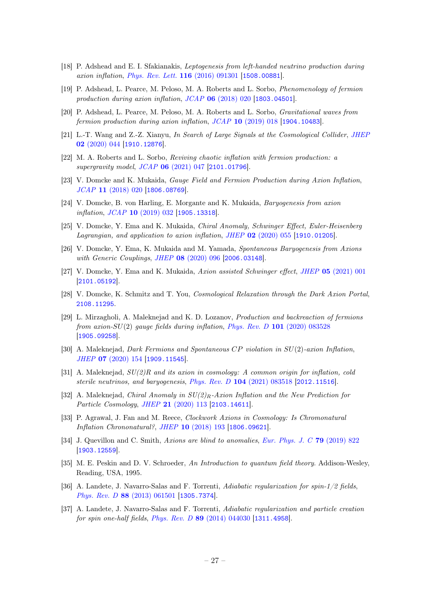- [18] P. Adshead and E. I. Sfakianakis, Leptogenesis from left-handed neutrino production during axion inflation, [Phys. Rev. Lett.](https://doi.org/10.1103/PhysRevLett.116.091301) 116 (2016) 091301 [[1508.00881](https://arxiv.org/abs/1508.00881)].
- <span id="page-27-4"></span>[19] P. Adshead, L. Pearce, M. Peloso, M. A. Roberts and L. Sorbo, Phenomenology of fermion production during axion inflation, JCAP 06 [\(2018\) 020](https://doi.org/10.1088/1475-7516/2018/06/020) [[1803.04501](https://arxiv.org/abs/1803.04501)].
- <span id="page-27-3"></span>[20] P. Adshead, L. Pearce, M. Peloso, M. A. Roberts and L. Sorbo, Gravitational waves from fermion production during axion inflation, JCAP 10 [\(2019\) 018](https://doi.org/10.1088/1475-7516/2019/10/018) [[1904.10483](https://arxiv.org/abs/1904.10483)].
- [21] L.-T. Wang and Z.-Z. Xianyu, In Search of Large Signals at the Cosmological Collider, [JHEP](https://doi.org/10.1007/JHEP02(2020)044) 02 [\(2020\) 044](https://doi.org/10.1007/JHEP02(2020)044) [[1910.12876](https://arxiv.org/abs/1910.12876)].
- [22] M. A. Roberts and L. Sorbo, Reviving chaotic inflation with fermion production: a supergravity model, JCAP **06** [\(2021\) 047](https://doi.org/10.1088/1475-7516/2021/06/047) [[2101.01796](https://arxiv.org/abs/2101.01796)].
- [23] V. Domcke and K. Mukaida, Gauge Field and Fermion Production during Axion Inflation, JCAP 11 [\(2018\) 020](https://doi.org/10.1088/1475-7516/2018/11/020) [[1806.08769](https://arxiv.org/abs/1806.08769)].
- [24] V. Domcke, B. von Harling, E. Morgante and K. Mukaida, Baryogenesis from axion inflation, JCAP 10 [\(2019\) 032](https://doi.org/10.1088/1475-7516/2019/10/032) [[1905.13318](https://arxiv.org/abs/1905.13318)].
- [25] V. Domcke, Y. Ema and K. Mukaida, Chiral Anomaly, Schwinger Effect, Euler-Heisenberg Lagrangian, and application to axion inflation, JHEP  $02$  [\(2020\) 055](https://doi.org/10.1007/JHEP02(2020)055) [[1910.01205](https://arxiv.org/abs/1910.01205)].
- [26] V. Domcke, Y. Ema, K. Mukaida and M. Yamada, Spontaneous Baryogenesis from Axions with Generic Couplings, JHEP 08 [\(2020\) 096](https://doi.org/10.1007/JHEP08(2020)096) [[2006.03148](https://arxiv.org/abs/2006.03148)].
- [27] V. Domcke, Y. Ema and K. Mukaida, Axion assisted Schwinger effect, JHEP 05 [\(2021\) 001](https://doi.org/10.1007/JHEP05(2021)001) [[2101.05192](https://arxiv.org/abs/2101.05192)].
- [28] V. Domcke, K. Schmitz and T. You, Cosmological Relaxation through the Dark Axion Portal, [2108.11295](https://arxiv.org/abs/2108.11295).
- [29] L. Mirzagholi, A. Maleknejad and K. D. Lozanov, Production and backreaction of fermions from axion- $SU(2)$  gauge fields during inflation, Phys. Rev. D 101 [\(2020\) 083528](https://doi.org/10.1103/PhysRevD.101.083528) [[1905.09258](https://arxiv.org/abs/1905.09258)].
- [30] A. Maleknejad, Dark Fermions and Spontaneous CP violation in SU(2)-axion Inflation, JHEP 07 [\(2020\) 154](https://doi.org/10.1007/JHEP07(2020)154) [[1909.11545](https://arxiv.org/abs/1909.11545)].
- [31] A. Maleknejad,  $SU(2)R$  and its axion in cosmology: A common origin for inflation, cold sterile neutrinos, and baryogenesis, Phys. Rev. D 104 [\(2021\) 083518](https://doi.org/10.1103/PhysRevD.104.083518) [[2012.11516](https://arxiv.org/abs/2012.11516)].
- [32] A. Maleknejad, Chiral Anomaly in  $SU(2)_R$ -Axion Inflation and the New Prediction for Particle Cosmology, JHEP 21 [\(2020\) 113](https://doi.org/10.1007/JHEP06(2021)113) [[2103.14611](https://arxiv.org/abs/2103.14611)].
- <span id="page-27-0"></span>[33] P. Agrawal, J. Fan and M. Reece, Clockwork Axions in Cosmology: Is Chromonatural Inflation Chrononatural?, JHEP 10 [\(2018\) 193](https://doi.org/10.1007/JHEP10(2018)193) [[1806.09621](https://arxiv.org/abs/1806.09621)].
- <span id="page-27-1"></span>[34] J. Quevillon and C. Smith, Axions are blind to anomalies, [Eur. Phys. J. C](https://doi.org/10.1140/epjc/s10052-019-7304-4) 79 (2019) 822 [[1903.12559](https://arxiv.org/abs/1903.12559)].
- <span id="page-27-2"></span>[35] M. E. Peskin and D. V. Schroeder, An Introduction to quantum field theory. Addison-Wesley, Reading, USA, 1995.
- <span id="page-27-5"></span>[36] A. Landete, J. Navarro-Salas and F. Torrenti, Adiabatic regularization for spin-1/2 fields, Phys. Rev. D 88 [\(2013\) 061501](https://doi.org/10.1103/PhysRevD.88.061501) [[1305.7374](https://arxiv.org/abs/1305.7374)].
- [37] A. Landete, J. Navarro-Salas and F. Torrenti, Adiabatic regularization and particle creation for spin one-half fields, Phys. Rev. D 89 [\(2014\) 044030](https://doi.org/10.1103/PhysRevD.89.044030) [[1311.4958](https://arxiv.org/abs/1311.4958)].